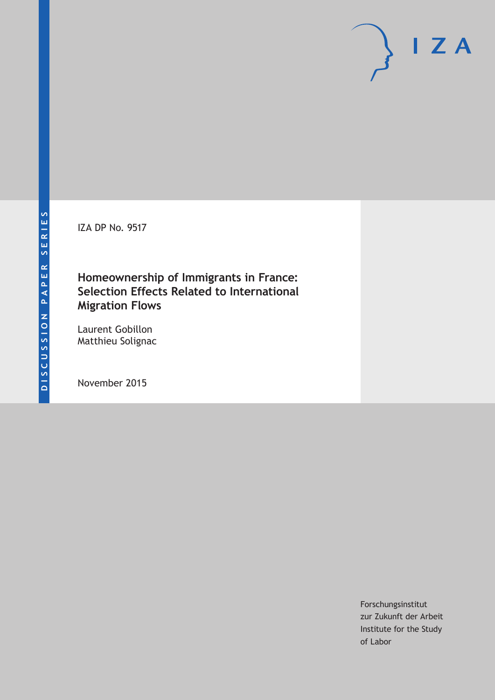IZA DP No. 9517

## **Homeownership of Immigrants in France: Selection Effects Related to International Migration Flows**

Laurent Gobillon Matthieu Solignac

November 2015

Forschungsinstitut zur Zukunft der Arbeit Institute for the Study of Labor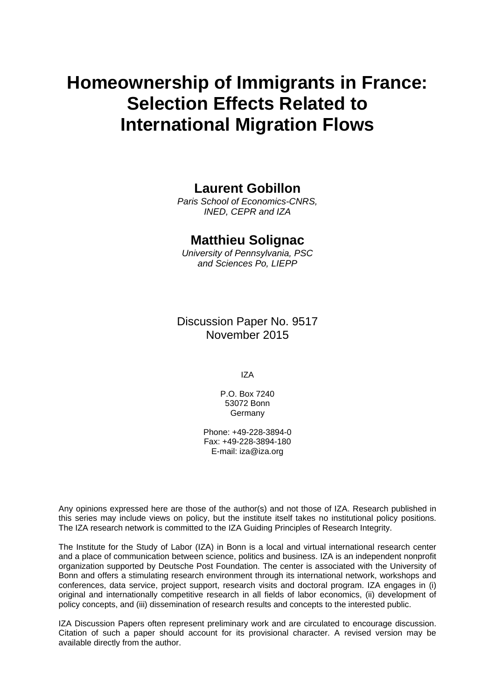# **Homeownership of Immigrants in France: Selection Effects Related to International Migration Flows**

## **Laurent Gobillon**

*Paris School of Economics-CNRS, INED, CEPR and IZA* 

## **Matthieu Solignac**

*University of Pennsylvania, PSC and Sciences Po, LIEPP* 

Discussion Paper No. 9517 November 2015

IZA

P.O. Box 7240 53072 Bonn **Germany** 

Phone: +49-228-3894-0 Fax: +49-228-3894-180 E-mail: iza@iza.org

Any opinions expressed here are those of the author(s) and not those of IZA. Research published in this series may include views on policy, but the institute itself takes no institutional policy positions. The IZA research network is committed to the IZA Guiding Principles of Research Integrity.

The Institute for the Study of Labor (IZA) in Bonn is a local and virtual international research center and a place of communication between science, politics and business. IZA is an independent nonprofit organization supported by Deutsche Post Foundation. The center is associated with the University of Bonn and offers a stimulating research environment through its international network, workshops and conferences, data service, project support, research visits and doctoral program. IZA engages in (i) original and internationally competitive research in all fields of labor economics, (ii) development of policy concepts, and (iii) dissemination of research results and concepts to the interested public.

IZA Discussion Papers often represent preliminary work and are circulated to encourage discussion. Citation of such a paper should account for its provisional character. A revised version may be available directly from the author.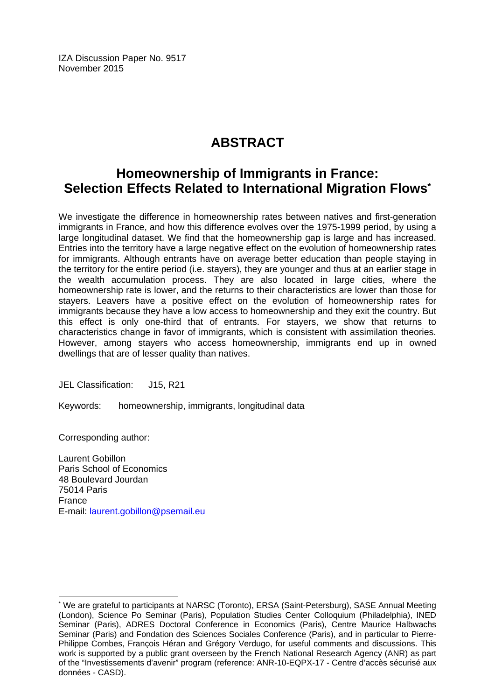IZA Discussion Paper No. 9517 November 2015

## **ABSTRACT**

## **Homeownership of Immigrants in France: Selection Effects Related to International Migration Flows\***

We investigate the difference in homeownership rates between natives and first-generation immigrants in France, and how this difference evolves over the 1975-1999 period, by using a large longitudinal dataset. We find that the homeownership gap is large and has increased. Entries into the territory have a large negative effect on the evolution of homeownership rates for immigrants. Although entrants have on average better education than people staying in the territory for the entire period (i.e. stayers), they are younger and thus at an earlier stage in the wealth accumulation process. They are also located in large cities, where the homeownership rate is lower, and the returns to their characteristics are lower than those for stayers. Leavers have a positive effect on the evolution of homeownership rates for immigrants because they have a low access to homeownership and they exit the country. But this effect is only one-third that of entrants. For stayers, we show that returns to characteristics change in favor of immigrants, which is consistent with assimilation theories. However, among stayers who access homeownership, immigrants end up in owned dwellings that are of lesser quality than natives.

JEL Classification: J15, R21

Keywords: homeownership, immigrants, longitudinal data

Corresponding author:

 $\overline{a}$ 

Laurent Gobillon Paris School of Economics 48 Boulevard Jourdan 75014 Paris France E-mail: laurent.gobillon@psemail.eu

<sup>\*</sup> We are grateful to participants at NARSC (Toronto), ERSA (Saint-Petersburg), SASE Annual Meeting (London), Science Po Seminar (Paris), Population Studies Center Colloquium (Philadelphia), INED Seminar (Paris), ADRES Doctoral Conference in Economics (Paris), Centre Maurice Halbwachs Seminar (Paris) and Fondation des Sciences Sociales Conference (Paris), and in particular to Pierre-Philippe Combes, François Héran and Grégory Verdugo, for useful comments and discussions. This work is supported by a public grant overseen by the French National Research Agency (ANR) as part of the "Investissements d'avenir" program (reference: ANR-10-EQPX-17 - Centre d'accès sécurisé aux données - CASD).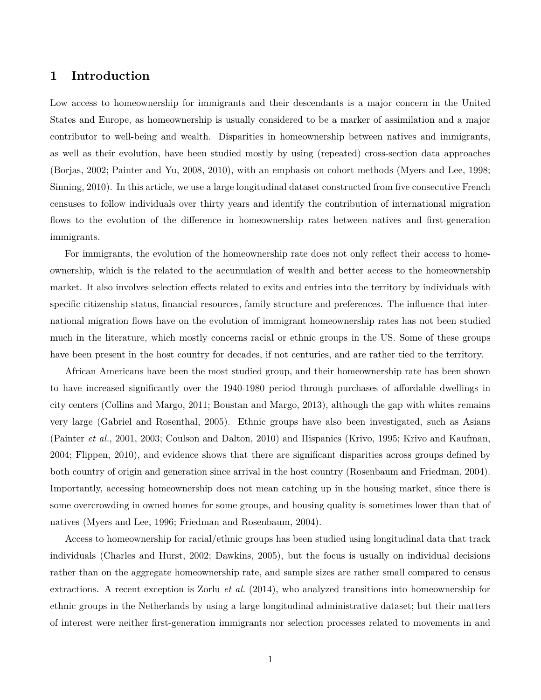## **1 Introduction**

Low access to homeownership for immigrants and their descendants is a major concern in the United States and Europe, as homeownership is usually considered to be a marker of assimilation and a major contributor to well-being and wealth. Disparities in homeownership between natives and immigrants, as well as their evolution, have been studied mostly by using (repeated) cross-section data approaches (Borjas, 2002; Painter and Yu, 2008, 2010), with an emphasis on cohort methods (Myers and Lee, 1998; Sinning, 2010). In this article, we use a large longitudinal dataset constructed from five consecutive French censuses to follow individuals over thirty years and identify the contribution of international migration flows to the evolution of the difference in homeownership rates between natives and first-generation immigrants.

For immigrants, the evolution of the homeownership rate does not only reflect their access to homeownership, which is the related to the accumulation of wealth and better access to the homeownership market. It also involves selection effects related to exits and entries into the territory by individuals with specific citizenship status, financial resources, family structure and preferences. The influence that international migration flows have on the evolution of immigrant homeownership rates has not been studied much in the literature, which mostly concerns racial or ethnic groups in the US. Some of these groups have been present in the host country for decades, if not centuries, and are rather tied to the territory.

African Americans have been the most studied group, and their homeownership rate has been shown to have increased significantly over the 1940-1980 period through purchases of affordable dwellings in city centers (Collins and Margo, 2011; Boustan and Margo, 2013), although the gap with whites remains very large (Gabriel and Rosenthal, 2005). Ethnic groups have also been investigated, such as Asians (Painter *et al.*, 2001, 2003; Coulson and Dalton, 2010) and Hispanics (Krivo, 1995; Krivo and Kaufman, 2004; Flippen, 2010), and evidence shows that there are significant disparities across groups defined by both country of origin and generation since arrival in the host country (Rosenbaum and Friedman, 2004). Importantly, accessing homeownership does not mean catching up in the housing market, since there is some overcrowding in owned homes for some groups, and housing quality is sometimes lower than that of natives (Myers and Lee, 1996; Friedman and Rosenbaum, 2004).

Access to homeownership for racial/ethnic groups has been studied using longitudinal data that track individuals (Charles and Hurst, 2002; Dawkins, 2005), but the focus is usually on individual decisions rather than on the aggregate homeownership rate, and sample sizes are rather small compared to census extractions. A recent exception is Zorlu *et al.* (2014), who analyzed transitions into homeownership for ethnic groups in the Netherlands by using a large longitudinal administrative dataset; but their matters of interest were neither first-generation immigrants nor selection processes related to movements in and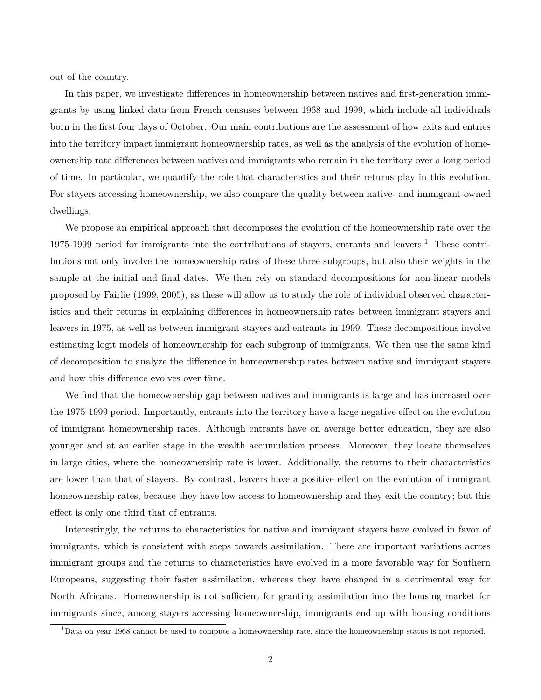out of the country.

In this paper, we investigate differences in homeownership between natives and first-generation immigrants by using linked data from French censuses between 1968 and 1999, which include all individuals born in the first four days of October. Our main contributions are the assessment of how exits and entries into the territory impact immigrant homeownership rates, as well as the analysis of the evolution of homeownership rate differences between natives and immigrants who remain in the territory over a long period of time. In particular, we quantify the role that characteristics and their returns play in this evolution. For stayers accessing homeownership, we also compare the quality between native- and immigrant-owned dwellings.

We propose an empirical approach that decomposes the evolution of the homeownership rate over the 1975-1999 period for immigrants into the contributions of stayers, entrants and leavers.<sup>1</sup> These contributions not only involve the homeownership rates of these three subgroups, but also their weights in the sample at the initial and final dates. We then rely on standard decompositions for non-linear models proposed by Fairlie (1999, 2005), as these will allow us to study the role of individual observed characteristics and their returns in explaining differences in homeownership rates between immigrant stayers and leavers in 1975, as well as between immigrant stayers and entrants in 1999. These decompositions involve estimating logit models of homeownership for each subgroup of immigrants. We then use the same kind of decomposition to analyze the difference in homeownership rates between native and immigrant stayers and how this difference evolves over time.

We find that the homeownership gap between natives and immigrants is large and has increased over the 1975-1999 period. Importantly, entrants into the territory have a large negative effect on the evolution of immigrant homeownership rates. Although entrants have on average better education, they are also younger and at an earlier stage in the wealth accumulation process. Moreover, they locate themselves in large cities, where the homeownership rate is lower. Additionally, the returns to their characteristics are lower than that of stayers. By contrast, leavers have a positive effect on the evolution of immigrant homeownership rates, because they have low access to homeownership and they exit the country; but this effect is only one third that of entrants.

Interestingly, the returns to characteristics for native and immigrant stayers have evolved in favor of immigrants, which is consistent with steps towards assimilation. There are important variations across immigrant groups and the returns to characteristics have evolved in a more favorable way for Southern Europeans, suggesting their faster assimilation, whereas they have changed in a detrimental way for North Africans. Homeownership is not sufficient for granting assimilation into the housing market for immigrants since, among stayers accessing homeownership, immigrants end up with housing conditions

<sup>&</sup>lt;sup>1</sup>Data on year 1968 cannot be used to compute a homeownership rate, since the homeownership status is not reported.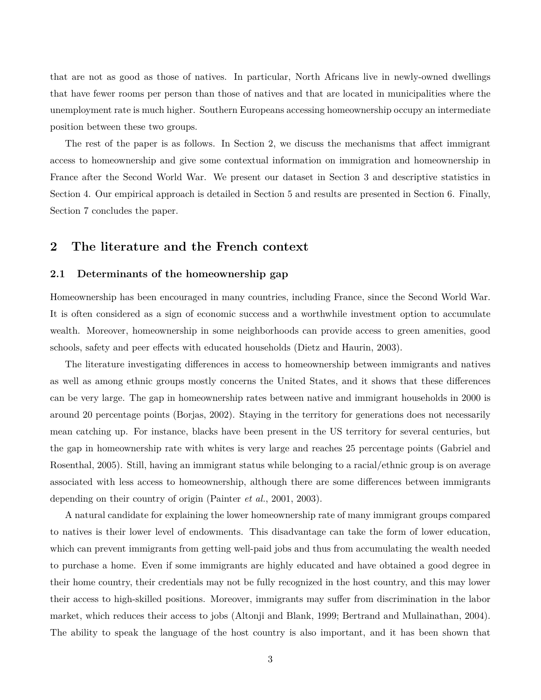that are not as good as those of natives. In particular, North Africans live in newly-owned dwellings that have fewer rooms per person than those of natives and that are located in municipalities where the unemployment rate is much higher. Southern Europeans accessing homeownership occupy an intermediate position between these two groups.

The rest of the paper is as follows. In Section 2, we discuss the mechanisms that affect immigrant access to homeownership and give some contextual information on immigration and homeownership in France after the Second World War. We present our dataset in Section 3 and descriptive statistics in Section 4. Our empirical approach is detailed in Section 5 and results are presented in Section 6. Finally, Section 7 concludes the paper.

## **2 The literature and the French context**

#### **2.1 Determinants of the homeownership gap**

Homeownership has been encouraged in many countries, including France, since the Second World War. It is often considered as a sign of economic success and a worthwhile investment option to accumulate wealth. Moreover, homeownership in some neighborhoods can provide access to green amenities, good schools, safety and peer effects with educated households (Dietz and Haurin, 2003).

The literature investigating differences in access to homeownership between immigrants and natives as well as among ethnic groups mostly concerns the United States, and it shows that these differences can be very large. The gap in homeownership rates between native and immigrant households in 2000 is around 20 percentage points (Borjas, 2002). Staying in the territory for generations does not necessarily mean catching up. For instance, blacks have been present in the US territory for several centuries, but the gap in homeownership rate with whites is very large and reaches 25 percentage points (Gabriel and Rosenthal, 2005). Still, having an immigrant status while belonging to a racial/ethnic group is on average associated with less access to homeownership, although there are some differences between immigrants depending on their country of origin (Painter *et al.*, 2001, 2003).

A natural candidate for explaining the lower homeownership rate of many immigrant groups compared to natives is their lower level of endowments. This disadvantage can take the form of lower education, which can prevent immigrants from getting well-paid jobs and thus from accumulating the wealth needed to purchase a home. Even if some immigrants are highly educated and have obtained a good degree in their home country, their credentials may not be fully recognized in the host country, and this may lower their access to high-skilled positions. Moreover, immigrants may suffer from discrimination in the labor market, which reduces their access to jobs (Altonji and Blank, 1999; Bertrand and Mullainathan, 2004). The ability to speak the language of the host country is also important, and it has been shown that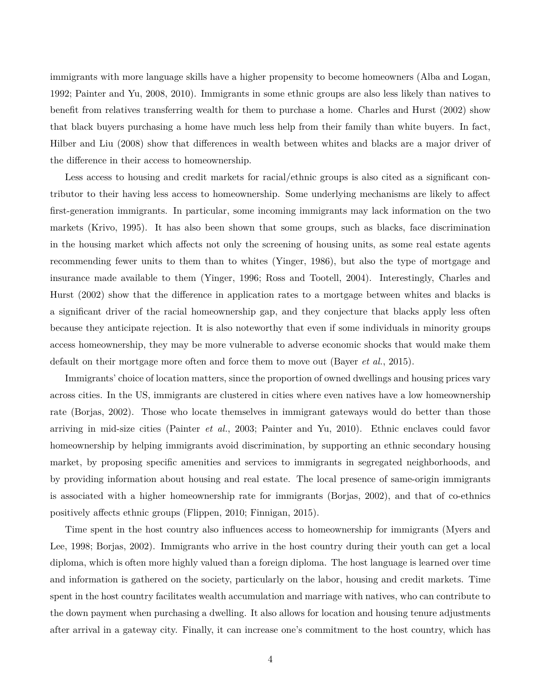immigrants with more language skills have a higher propensity to become homeowners (Alba and Logan, 1992; Painter and Yu, 2008, 2010). Immigrants in some ethnic groups are also less likely than natives to benefit from relatives transferring wealth for them to purchase a home. Charles and Hurst (2002) show that black buyers purchasing a home have much less help from their family than white buyers. In fact, Hilber and Liu (2008) show that differences in wealth between whites and blacks are a major driver of the difference in their access to homeownership.

Less access to housing and credit markets for racial/ethnic groups is also cited as a significant contributor to their having less access to homeownership. Some underlying mechanisms are likely to affect first-generation immigrants. In particular, some incoming immigrants may lack information on the two markets (Krivo, 1995). It has also been shown that some groups, such as blacks, face discrimination in the housing market which affects not only the screening of housing units, as some real estate agents recommending fewer units to them than to whites (Yinger, 1986), but also the type of mortgage and insurance made available to them (Yinger, 1996; Ross and Tootell, 2004). Interestingly, Charles and Hurst (2002) show that the difference in application rates to a mortgage between whites and blacks is a significant driver of the racial homeownership gap, and they conjecture that blacks apply less often because they anticipate rejection. It is also noteworthy that even if some individuals in minority groups access homeownership, they may be more vulnerable to adverse economic shocks that would make them default on their mortgage more often and force them to move out (Bayer *et al.*, 2015).

Immigrants' choice of location matters, since the proportion of owned dwellings and housing prices vary across cities. In the US, immigrants are clustered in cities where even natives have a low homeownership rate (Borjas, 2002). Those who locate themselves in immigrant gateways would do better than those arriving in mid-size cities (Painter *et al.*, 2003; Painter and Yu, 2010). Ethnic enclaves could favor homeownership by helping immigrants avoid discrimination, by supporting an ethnic secondary housing market, by proposing specific amenities and services to immigrants in segregated neighborhoods, and by providing information about housing and real estate. The local presence of same-origin immigrants is associated with a higher homeownership rate for immigrants (Borjas, 2002), and that of co-ethnics positively affects ethnic groups (Flippen, 2010; Finnigan, 2015).

Time spent in the host country also influences access to homeownership for immigrants (Myers and Lee, 1998; Borjas, 2002). Immigrants who arrive in the host country during their youth can get a local diploma, which is often more highly valued than a foreign diploma. The host language is learned over time and information is gathered on the society, particularly on the labor, housing and credit markets. Time spent in the host country facilitates wealth accumulation and marriage with natives, who can contribute to the down payment when purchasing a dwelling. It also allows for location and housing tenure adjustments after arrival in a gateway city. Finally, it can increase one's commitment to the host country, which has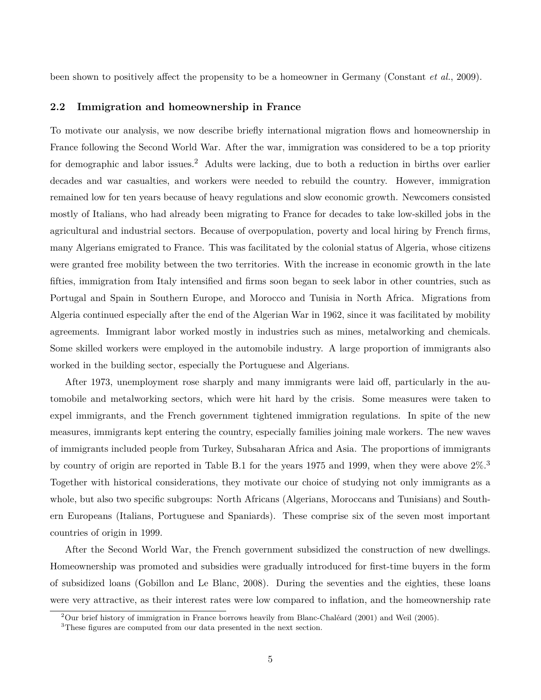been shown to positively affect the propensity to be a homeowner in Germany (Constant *et al.*, 2009).

#### **2.2 Immigration and homeownership in France**

To motivate our analysis, we now describe briefly international migration flows and homeownership in France following the Second World War. After the war, immigration was considered to be a top priority for demographic and labor issues.<sup>2</sup> Adults were lacking, due to both a reduction in births over earlier decades and war casualties, and workers were needed to rebuild the country. However, immigration remained low for ten years because of heavy regulations and slow economic growth. Newcomers consisted mostly of Italians, who had already been migrating to France for decades to take low-skilled jobs in the agricultural and industrial sectors. Because of overpopulation, poverty and local hiring by French firms, many Algerians emigrated to France. This was facilitated by the colonial status of Algeria, whose citizens were granted free mobility between the two territories. With the increase in economic growth in the late fifties, immigration from Italy intensified and firms soon began to seek labor in other countries, such as Portugal and Spain in Southern Europe, and Morocco and Tunisia in North Africa. Migrations from Algeria continued especially after the end of the Algerian War in 1962, since it was facilitated by mobility agreements. Immigrant labor worked mostly in industries such as mines, metalworking and chemicals. Some skilled workers were employed in the automobile industry. A large proportion of immigrants also worked in the building sector, especially the Portuguese and Algerians.

After 1973, unemployment rose sharply and many immigrants were laid off, particularly in the automobile and metalworking sectors, which were hit hard by the crisis. Some measures were taken to expel immigrants, and the French government tightened immigration regulations. In spite of the new measures, immigrants kept entering the country, especially families joining male workers. The new waves of immigrants included people from Turkey, Subsaharan Africa and Asia. The proportions of immigrants by country of origin are reported in Table B.1 for the years 1975 and 1999, when they were above 2%.<sup>3</sup> Together with historical considerations, they motivate our choice of studying not only immigrants as a whole, but also two specific subgroups: North Africans (Algerians, Moroccans and Tunisians) and Southern Europeans (Italians, Portuguese and Spaniards). These comprise six of the seven most important countries of origin in 1999.

After the Second World War, the French government subsidized the construction of new dwellings. Homeownership was promoted and subsidies were gradually introduced for first-time buyers in the form of subsidized loans (Gobillon and Le Blanc, 2008). During the seventies and the eighties, these loans were very attractive, as their interest rates were low compared to inflation, and the homeownership rate

<sup>&</sup>lt;sup>2</sup>Our brief history of immigration in France borrows heavily from Blanc-Chaléard (2001) and Weil (2005).

<sup>&</sup>lt;sup>3</sup>These figures are computed from our data presented in the next section.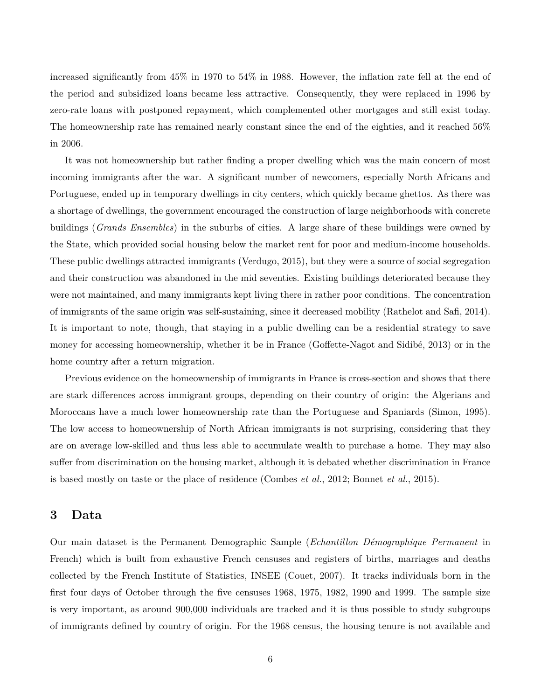increased significantly from 45% in 1970 to 54% in 1988. However, the inflation rate fell at the end of the period and subsidized loans became less attractive. Consequently, they were replaced in 1996 by zero-rate loans with postponed repayment, which complemented other mortgages and still exist today. The homeownership rate has remained nearly constant since the end of the eighties, and it reached 56% in 2006.

It was not homeownership but rather finding a proper dwelling which was the main concern of most incoming immigrants after the war. A significant number of newcomers, especially North Africans and Portuguese, ended up in temporary dwellings in city centers, which quickly became ghettos. As there was a shortage of dwellings, the government encouraged the construction of large neighborhoods with concrete buildings (*Grands Ensembles*) in the suburbs of cities. A large share of these buildings were owned by the State, which provided social housing below the market rent for poor and medium-income households. These public dwellings attracted immigrants (Verdugo, 2015), but they were a source of social segregation and their construction was abandoned in the mid seventies. Existing buildings deteriorated because they were not maintained, and many immigrants kept living there in rather poor conditions. The concentration of immigrants of the same origin was self-sustaining, since it decreased mobility (Rathelot and Safi, 2014). It is important to note, though, that staying in a public dwelling can be a residential strategy to save money for accessing homeownership, whether it be in France (Goffette-Nagot and Sidibé, 2013) or in the home country after a return migration.

Previous evidence on the homeownership of immigrants in France is cross-section and shows that there are stark differences across immigrant groups, depending on their country of origin: the Algerians and Moroccans have a much lower homeownership rate than the Portuguese and Spaniards (Simon, 1995). The low access to homeownership of North African immigrants is not surprising, considering that they are on average low-skilled and thus less able to accumulate wealth to purchase a home. They may also suffer from discrimination on the housing market, although it is debated whether discrimination in France is based mostly on taste or the place of residence (Combes *et al.*, 2012; Bonnet *et al.*, 2015).

## **3 Data**

Our main dataset is the Permanent Demographic Sample (*Echantillon D´emographique Permanent* in French) which is built from exhaustive French censuses and registers of births, marriages and deaths collected by the French Institute of Statistics, INSEE (Couet, 2007). It tracks individuals born in the first four days of October through the five censuses 1968, 1975, 1982, 1990 and 1999. The sample size is very important, as around 900,000 individuals are tracked and it is thus possible to study subgroups of immigrants defined by country of origin. For the 1968 census, the housing tenure is not available and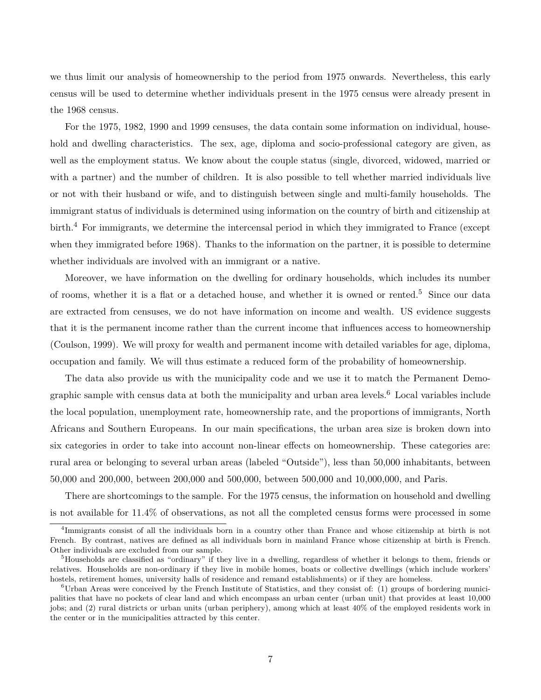we thus limit our analysis of homeownership to the period from 1975 onwards. Nevertheless, this early census will be used to determine whether individuals present in the 1975 census were already present in the 1968 census.

For the 1975, 1982, 1990 and 1999 censuses, the data contain some information on individual, household and dwelling characteristics. The sex, age, diploma and socio-professional category are given, as well as the employment status. We know about the couple status (single, divorced, widowed, married or with a partner) and the number of children. It is also possible to tell whether married individuals live or not with their husband or wife, and to distinguish between single and multi-family households. The immigrant status of individuals is determined using information on the country of birth and citizenship at birth.<sup>4</sup> For immigrants, we determine the intercensal period in which they immigrated to France (except when they immigrated before 1968). Thanks to the information on the partner, it is possible to determine whether individuals are involved with an immigrant or a native.

Moreover, we have information on the dwelling for ordinary households, which includes its number of rooms, whether it is a flat or a detached house, and whether it is owned or rented.<sup>5</sup> Since our data are extracted from censuses, we do not have information on income and wealth. US evidence suggests that it is the permanent income rather than the current income that influences access to homeownership (Coulson, 1999). We will proxy for wealth and permanent income with detailed variables for age, diploma, occupation and family. We will thus estimate a reduced form of the probability of homeownership.

The data also provide us with the municipality code and we use it to match the Permanent Demographic sample with census data at both the municipality and urban area levels.<sup>6</sup> Local variables include the local population, unemployment rate, homeownership rate, and the proportions of immigrants, North Africans and Southern Europeans. In our main specifications, the urban area size is broken down into six categories in order to take into account non-linear effects on homeownership. These categories are: rural area or belonging to several urban areas (labeled "Outside"), less than 50,000 inhabitants, between 50,000 and 200,000, between 200,000 and 500,000, between 500,000 and 10,000,000, and Paris.

There are shortcomings to the sample. For the 1975 census, the information on household and dwelling is not available for 11.4% of observations, as not all the completed census forms were processed in some

<sup>4</sup> Immigrants consist of all the individuals born in a country other than France and whose citizenship at birth is not French. By contrast, natives are defined as all individuals born in mainland France whose citizenship at birth is French. Other individuals are excluded from our sample.

<sup>&</sup>lt;sup>5</sup>Households are classified as "ordinary" if they live in a dwelling, regardless of whether it belongs to them, friends or relatives. Households are non-ordinary if they live in mobile homes, boats or collective dwellings (which include workers' hostels, retirement homes, university halls of residence and remand establishments) or if they are homeless.

 ${}^{6}$ Urban Areas were conceived by the French Institute of Statistics, and they consist of: (1) groups of bordering municipalities that have no pockets of clear land and which encompass an urban center (urban unit) that provides at least 10,000 jobs; and (2) rural districts or urban units (urban periphery), among which at least 40% of the employed residents work in the center or in the municipalities attracted by this center.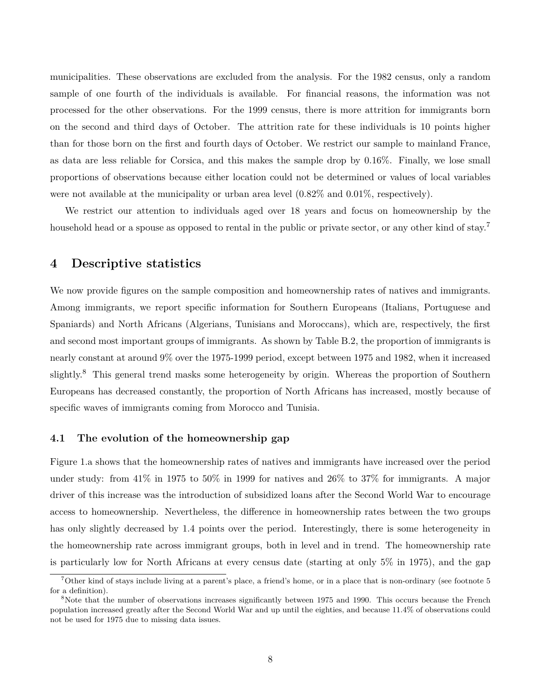municipalities. These observations are excluded from the analysis. For the 1982 census, only a random sample of one fourth of the individuals is available. For financial reasons, the information was not processed for the other observations. For the 1999 census, there is more attrition for immigrants born on the second and third days of October. The attrition rate for these individuals is 10 points higher than for those born on the first and fourth days of October. We restrict our sample to mainland France, as data are less reliable for Corsica, and this makes the sample drop by 0.16%. Finally, we lose small proportions of observations because either location could not be determined or values of local variables were not available at the municipality or urban area level (0.82% and 0.01%, respectively).

We restrict our attention to individuals aged over 18 years and focus on homeownership by the household head or a spouse as opposed to rental in the public or private sector, or any other kind of stay.<sup>7</sup>

## **4 Descriptive statistics**

We now provide figures on the sample composition and homeownership rates of natives and immigrants. Among immigrants, we report specific information for Southern Europeans (Italians, Portuguese and Spaniards) and North Africans (Algerians, Tunisians and Moroccans), which are, respectively, the first and second most important groups of immigrants. As shown by Table B.2, the proportion of immigrants is nearly constant at around 9% over the 1975-1999 period, except between 1975 and 1982, when it increased slightly.<sup>8</sup> This general trend masks some heterogeneity by origin. Whereas the proportion of Southern Europeans has decreased constantly, the proportion of North Africans has increased, mostly because of specific waves of immigrants coming from Morocco and Tunisia.

#### **4.1 The evolution of the homeownership gap**

Figure 1.a shows that the homeownership rates of natives and immigrants have increased over the period under study: from 41% in 1975 to 50% in 1999 for natives and 26% to 37% for immigrants. A major driver of this increase was the introduction of subsidized loans after the Second World War to encourage access to homeownership. Nevertheless, the difference in homeownership rates between the two groups has only slightly decreased by 1.4 points over the period. Interestingly, there is some heterogeneity in the homeownership rate across immigrant groups, both in level and in trend. The homeownership rate is particularly low for North Africans at every census date (starting at only 5% in 1975), and the gap

<sup>&</sup>lt;sup>7</sup>Other kind of stays include living at a parent's place, a friend's home, or in a place that is non-ordinary (see footnote 5) for a definition).

<sup>8</sup>Note that the number of observations increases significantly between 1975 and 1990. This occurs because the French population increased greatly after the Second World War and up until the eighties, and because 11.4% of observations could not be used for 1975 due to missing data issues.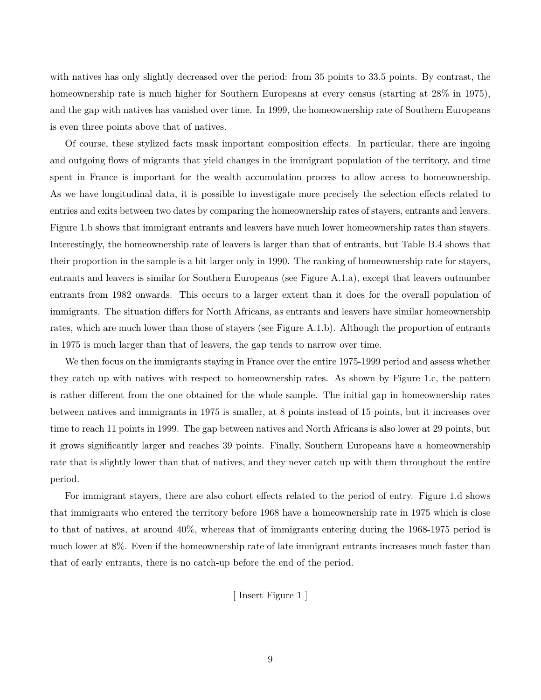with natives has only slightly decreased over the period: from 35 points to 33.5 points. By contrast, the homeownership rate is much higher for Southern Europeans at every census (starting at  $28\%$  in 1975), and the gap with natives has vanished over time. In 1999, the homeownership rate of Southern Europeans is even three points above that of natives.

Of course, these stylized facts mask important composition effects. In particular, there are ingoing and outgoing flows of migrants that yield changes in the immigrant population of the territory, and time spent in France is important for the wealth accumulation process to allow access to homeownership. As we have longitudinal data, it is possible to investigate more precisely the selection effects related to entries and exits between two dates by comparing the homeownership rates of stayers, entrants and leavers. Figure 1.b shows that immigrant entrants and leavers have much lower homeownership rates than stayers. Interestingly, the homeownership rate of leavers is larger than that of entrants, but Table B.4 shows that their proportion in the sample is a bit larger only in 1990. The ranking of homeownership rate for stayers, entrants and leavers is similar for Southern Europeans (see Figure A.1.a), except that leavers outnumber entrants from 1982 onwards. This occurs to a larger extent than it does for the overall population of immigrants. The situation differs for North Africans, as entrants and leavers have similar homeownership rates, which are much lower than those of stayers (see Figure A.1.b). Although the proportion of entrants in 1975 is much larger than that of leavers, the gap tends to narrow over time.

We then focus on the immigrants staying in France over the entire 1975-1999 period and assess whether they catch up with natives with respect to homeownership rates. As shown by Figure 1.c, the pattern is rather different from the one obtained for the whole sample. The initial gap in homeownership rates between natives and immigrants in 1975 is smaller, at 8 points instead of 15 points, but it increases over time to reach 11 points in 1999. The gap between natives and North Africans is also lower at 29 points, but it grows significantly larger and reaches 39 points. Finally, Southern Europeans have a homeownership rate that is slightly lower than that of natives, and they never catch up with them throughout the entire period.

For immigrant stayers, there are also cohort effects related to the period of entry. Figure 1.d shows that immigrants who entered the territory before 1968 have a homeownership rate in 1975 which is close to that of natives, at around 40%, whereas that of immigrants entering during the 1968-1975 period is much lower at 8%. Even if the homeownership rate of late immigrant entrants increases much faster than that of early entrants, there is no catch-up before the end of the period.

[ Insert Figure 1 ]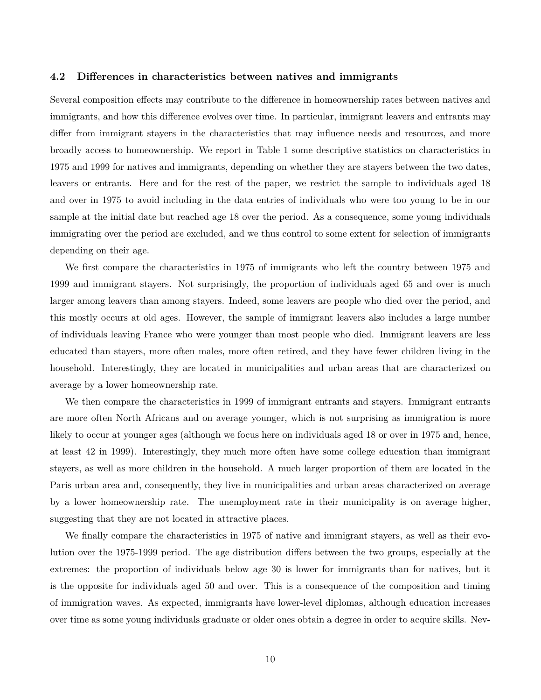#### **4.2 Differences in characteristics between natives and immigrants**

Several composition effects may contribute to the difference in homeownership rates between natives and immigrants, and how this difference evolves over time. In particular, immigrant leavers and entrants may differ from immigrant stayers in the characteristics that may influence needs and resources, and more broadly access to homeownership. We report in Table 1 some descriptive statistics on characteristics in 1975 and 1999 for natives and immigrants, depending on whether they are stayers between the two dates, leavers or entrants. Here and for the rest of the paper, we restrict the sample to individuals aged 18 and over in 1975 to avoid including in the data entries of individuals who were too young to be in our sample at the initial date but reached age 18 over the period. As a consequence, some young individuals immigrating over the period are excluded, and we thus control to some extent for selection of immigrants depending on their age.

We first compare the characteristics in 1975 of immigrants who left the country between 1975 and 1999 and immigrant stayers. Not surprisingly, the proportion of individuals aged 65 and over is much larger among leavers than among stayers. Indeed, some leavers are people who died over the period, and this mostly occurs at old ages. However, the sample of immigrant leavers also includes a large number of individuals leaving France who were younger than most people who died. Immigrant leavers are less educated than stayers, more often males, more often retired, and they have fewer children living in the household. Interestingly, they are located in municipalities and urban areas that are characterized on average by a lower homeownership rate.

We then compare the characteristics in 1999 of immigrant entrants and stayers. Immigrant entrants are more often North Africans and on average younger, which is not surprising as immigration is more likely to occur at younger ages (although we focus here on individuals aged 18 or over in 1975 and, hence, at least 42 in 1999). Interestingly, they much more often have some college education than immigrant stayers, as well as more children in the household. A much larger proportion of them are located in the Paris urban area and, consequently, they live in municipalities and urban areas characterized on average by a lower homeownership rate. The unemployment rate in their municipality is on average higher, suggesting that they are not located in attractive places.

We finally compare the characteristics in 1975 of native and immigrant stayers, as well as their evolution over the 1975-1999 period. The age distribution differs between the two groups, especially at the extremes: the proportion of individuals below age 30 is lower for immigrants than for natives, but it is the opposite for individuals aged 50 and over. This is a consequence of the composition and timing of immigration waves. As expected, immigrants have lower-level diplomas, although education increases over time as some young individuals graduate or older ones obtain a degree in order to acquire skills. Nev-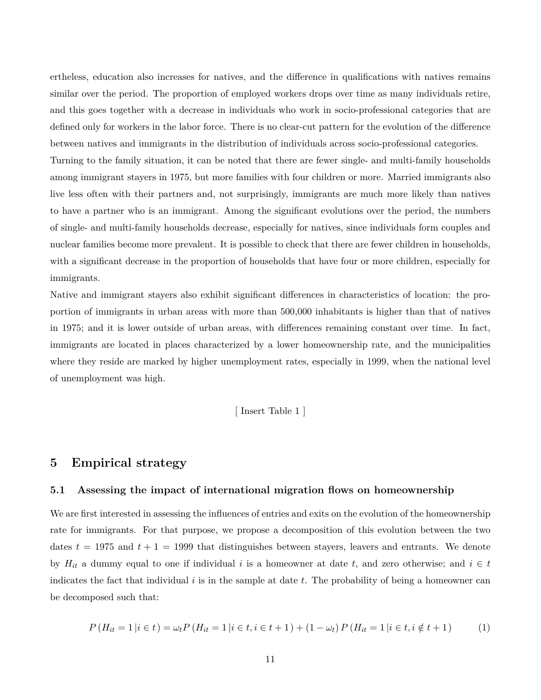ertheless, education also increases for natives, and the difference in qualifications with natives remains similar over the period. The proportion of employed workers drops over time as many individuals retire, and this goes together with a decrease in individuals who work in socio-professional categories that are defined only for workers in the labor force. There is no clear-cut pattern for the evolution of the difference between natives and immigrants in the distribution of individuals across socio-professional categories. Turning to the family situation, it can be noted that there are fewer single- and multi-family households among immigrant stayers in 1975, but more families with four children or more. Married immigrants also live less often with their partners and, not surprisingly, immigrants are much more likely than natives to have a partner who is an immigrant. Among the significant evolutions over the period, the numbers of single- and multi-family households decrease, especially for natives, since individuals form couples and nuclear families become more prevalent. It is possible to check that there are fewer children in households, with a significant decrease in the proportion of households that have four or more children, especially for immigrants.

Native and immigrant stayers also exhibit significant differences in characteristics of location: the proportion of immigrants in urban areas with more than 500,000 inhabitants is higher than that of natives in 1975; and it is lower outside of urban areas, with differences remaining constant over time. In fact, immigrants are located in places characterized by a lower homeownership rate, and the municipalities where they reside are marked by higher unemployment rates, especially in 1999, when the national level of unemployment was high.

[ Insert Table 1 ]

## **5 Empirical strategy**

#### **5.1 Assessing the impact of international migration flows on homeownership**

We are first interested in assessing the influences of entries and exits on the evolution of the homeownership rate for immigrants. For that purpose, we propose a decomposition of this evolution between the two dates  $t = 1975$  and  $t + 1 = 1999$  that distinguishes between stayers, leavers and entrants. We denote by  $H_{it}$  a dummy equal to one if individual *i* is a homeowner at date *t*, and zero otherwise; and  $i \in t$ indicates the fact that individual *i* is in the sample at date *t*. The probability of being a homeowner can be decomposed such that:

$$
P(H_{it} = 1|i \in t) = \omega_t P(H_{it} = 1|i \in t, i \in t + 1) + (1 - \omega_t) P(H_{it} = 1|i \in t, i \notin t + 1)
$$
 (1)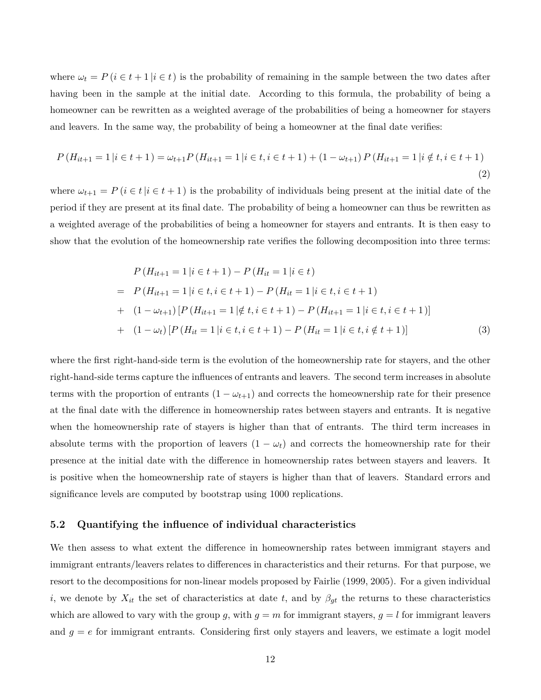where  $\omega_t = P(i \in t + 1 | i \in t)$  is the probability of remaining in the sample between the two dates after having been in the sample at the initial date. According to this formula, the probability of being a homeowner can be rewritten as a weighted average of the probabilities of being a homeowner for stayers and leavers. In the same way, the probability of being a homeowner at the final date verifies:

$$
P(H_{it+1} = 1 | i \in t + 1) = \omega_{t+1} P(H_{it+1} = 1 | i \in t, i \in t + 1) + (1 - \omega_{t+1}) P(H_{it+1} = 1 | i \notin t, i \in t + 1)
$$
\n(2)

where  $\omega_{t+1} = P(i \in t | i \in t+1)$  is the probability of individuals being present at the initial date of the period if they are present at its final date. The probability of being a homeowner can thus be rewritten as a weighted average of the probabilities of being a homeowner for stayers and entrants. It is then easy to show that the evolution of the homeownership rate verifies the following decomposition into three terms:

$$
P(H_{it+1} = 1 | i \in t + 1) - P(H_{it} = 1 | i \in t)
$$
  
= 
$$
P(H_{it+1} = 1 | i \in t, i \in t + 1) - P(H_{it} = 1 | i \in t, i \in t + 1)
$$
  
+ 
$$
(1 - \omega_{t+1}) [P(H_{it+1} = 1 | \notin t, i \in t + 1) - P(H_{it+1} = 1 | i \in t, i \in t + 1)]
$$
  
+ 
$$
(1 - \omega_t) [P(H_{it} = 1 | i \in t, i \in t + 1) - P(H_{it} = 1 | i \in t, i \notin t + 1)]
$$
 (3)

where the first right-hand-side term is the evolution of the homeownership rate for stayers, and the other right-hand-side terms capture the influences of entrants and leavers. The second term increases in absolute terms with the proportion of entrants  $(1 - \omega_{t+1})$  and corrects the homeownership rate for their presence at the final date with the difference in homeownership rates between stayers and entrants. It is negative when the homeownership rate of stayers is higher than that of entrants. The third term increases in absolute terms with the proportion of leavers  $(1 - \omega_t)$  and corrects the homeownership rate for their presence at the initial date with the difference in homeownership rates between stayers and leavers. It is positive when the homeownership rate of stayers is higher than that of leavers. Standard errors and significance levels are computed by bootstrap using 1000 replications.

#### **5.2 Quantifying the influence of individual characteristics**

We then assess to what extent the difference in homeownership rates between immigrant stayers and immigrant entrants/leavers relates to differences in characteristics and their returns. For that purpose, we resort to the decompositions for non-linear models proposed by Fairlie (1999, 2005). For a given individual *i*, we denote by  $X_{it}$  the set of characteristics at date *t*, and by  $\beta_{gt}$  the returns to these characteristics which are allowed to vary with the group g, with  $g = m$  for immigrant stayers,  $g = l$  for immigrant leavers and  $g = e$  for immigrant entrants. Considering first only stayers and leavers, we estimate a logit model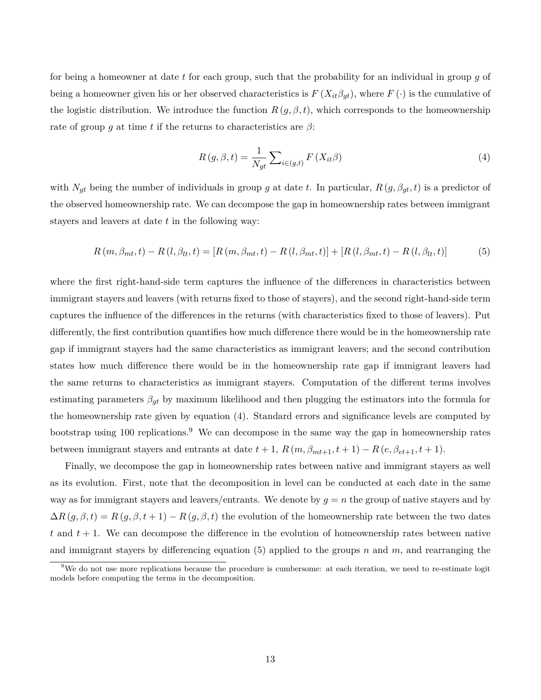for being a homeowner at date *t* for each group, such that the probability for an individual in group *g* of being a homeowner given his or her observed characteristics is  $F(X_{it}\beta_{gt})$ , where  $F(\cdot)$  is the cumulative of the logistic distribution. We introduce the function  $R(g, \beta, t)$ , which corresponds to the homeownership rate of group *g* at time *t* if the returns to characteristics are  $\beta$ :

$$
R(g, \beta, t) = \frac{1}{N_{gt}} \sum_{i \in (g, t)} F(X_{it}\beta)
$$
\n(4)

with  $N_{gt}$  being the number of individuals in group *g* at date *t*. In particular,  $R(g, \beta_{gt}, t)$  is a predictor of the observed homeownership rate. We can decompose the gap in homeownership rates between immigrant stayers and leavers at date *t* in the following way:

$$
R(m, \beta_{mt}, t) - R(l, \beta_{lt}, t) = [R(m, \beta_{mt}, t) - R(l, \beta_{mt}, t)] + [R(l, \beta_{mt}, t) - R(l, \beta_{lt}, t)]
$$
(5)

where the first right-hand-side term captures the influence of the differences in characteristics between immigrant stayers and leavers (with returns fixed to those of stayers), and the second right-hand-side term captures the influence of the differences in the returns (with characteristics fixed to those of leavers). Put differently, the first contribution quantifies how much difference there would be in the homeownership rate gap if immigrant stayers had the same characteristics as immigrant leavers; and the second contribution states how much difference there would be in the homeownership rate gap if immigrant leavers had the same returns to characteristics as immigrant stayers. Computation of the different terms involves estimating parameters  $\beta_{gt}$  by maximum likelihood and then plugging the estimators into the formula for the homeownership rate given by equation (4). Standard errors and significance levels are computed by bootstrap using 100 replications.<sup>9</sup> We can decompose in the same way the gap in homeownership rates between immigrant stayers and entrants at date  $t + 1$ ,  $R(m, \beta_{mt+1}, t + 1) - R(e, \beta_{et+1}, t + 1)$ .

Finally, we decompose the gap in homeownership rates between native and immigrant stayers as well as its evolution. First, note that the decomposition in level can be conducted at each date in the same way as for immigrant stayers and leavers/entrants. We denote by  $g = n$  the group of native stayers and by  $\Delta R(g, \beta, t) = R(g, \beta, t + 1) - R(g, \beta, t)$  the evolution of the homeownership rate between the two dates  $t$  and  $t + 1$ . We can decompose the difference in the evolution of homeownership rates between native and immigrant stayers by differencing equation (5) applied to the groups *n* and *m*, and rearranging the

<sup>&</sup>lt;sup>9</sup>We do not use more replications because the procedure is cumbersome: at each iteration, we need to re-estimate logit models before computing the terms in the decomposition.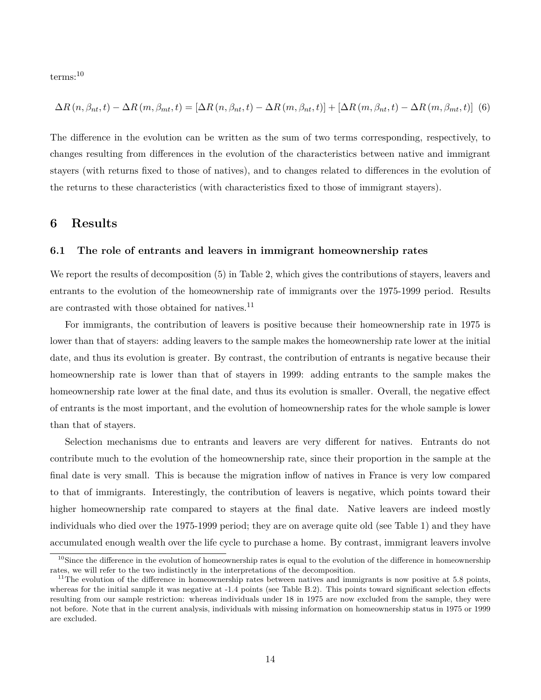terms:<sup>10</sup>

$$
\Delta R(n, \beta_{nt}, t) - \Delta R(m, \beta_{mt}, t) = [\Delta R(n, \beta_{nt}, t) - \Delta R(m, \beta_{nt}, t)] + [\Delta R(m, \beta_{nt}, t) - \Delta R(m, \beta_{mt}, t)]
$$
(6)

The difference in the evolution can be written as the sum of two terms corresponding, respectively, to changes resulting from differences in the evolution of the characteristics between native and immigrant stayers (with returns fixed to those of natives), and to changes related to differences in the evolution of the returns to these characteristics (with characteristics fixed to those of immigrant stayers).

## **6 Results**

#### **6.1 The role of entrants and leavers in immigrant homeownership rates**

We report the results of decomposition (5) in Table 2, which gives the contributions of stayers, leavers and entrants to the evolution of the homeownership rate of immigrants over the 1975-1999 period. Results are contrasted with those obtained for natives. $^{11}$ 

For immigrants, the contribution of leavers is positive because their homeownership rate in 1975 is lower than that of stayers: adding leavers to the sample makes the homeownership rate lower at the initial date, and thus its evolution is greater. By contrast, the contribution of entrants is negative because their homeownership rate is lower than that of stayers in 1999: adding entrants to the sample makes the homeownership rate lower at the final date, and thus its evolution is smaller. Overall, the negative effect of entrants is the most important, and the evolution of homeownership rates for the whole sample is lower than that of stayers.

Selection mechanisms due to entrants and leavers are very different for natives. Entrants do not contribute much to the evolution of the homeownership rate, since their proportion in the sample at the final date is very small. This is because the migration inflow of natives in France is very low compared to that of immigrants. Interestingly, the contribution of leavers is negative, which points toward their higher homeownership rate compared to stayers at the final date. Native leavers are indeed mostly individuals who died over the 1975-1999 period; they are on average quite old (see Table 1) and they have accumulated enough wealth over the life cycle to purchase a home. By contrast, immigrant leavers involve

 $10$ Since the difference in the evolution of homeownership rates is equal to the evolution of the difference in homeownership rates, we will refer to the two indistinctly in the interpretations of the decomposition.

<sup>&</sup>lt;sup>11</sup>The evolution of the difference in homeownership rates between natives and immigrants is now positive at 5.8 points, whereas for the initial sample it was negative at -1.4 points (see Table B.2). This points toward significant selection effects resulting from our sample restriction: whereas individuals under 18 in 1975 are now excluded from the sample, they were not before. Note that in the current analysis, individuals with missing information on homeownership status in 1975 or 1999 are excluded.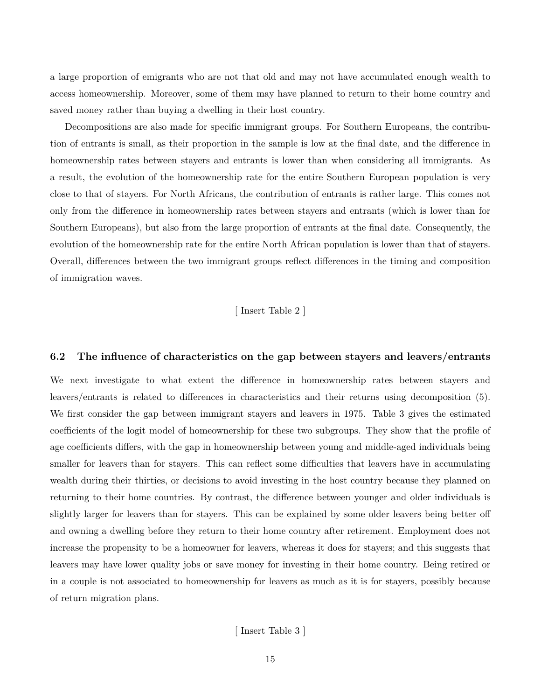a large proportion of emigrants who are not that old and may not have accumulated enough wealth to access homeownership. Moreover, some of them may have planned to return to their home country and saved money rather than buying a dwelling in their host country.

Decompositions are also made for specific immigrant groups. For Southern Europeans, the contribution of entrants is small, as their proportion in the sample is low at the final date, and the difference in homeownership rates between stayers and entrants is lower than when considering all immigrants. As a result, the evolution of the homeownership rate for the entire Southern European population is very close to that of stayers. For North Africans, the contribution of entrants is rather large. This comes not only from the difference in homeownership rates between stayers and entrants (which is lower than for Southern Europeans), but also from the large proportion of entrants at the final date. Consequently, the evolution of the homeownership rate for the entire North African population is lower than that of stayers. Overall, differences between the two immigrant groups reflect differences in the timing and composition of immigration waves.

[ Insert Table 2 ]

#### **6.2 The influence of characteristics on the gap between stayers and leavers/entrants**

We next investigate to what extent the difference in homeownership rates between stayers and leavers/entrants is related to differences in characteristics and their returns using decomposition (5). We first consider the gap between immigrant stayers and leavers in 1975. Table 3 gives the estimated coefficients of the logit model of homeownership for these two subgroups. They show that the profile of age coefficients differs, with the gap in homeownership between young and middle-aged individuals being smaller for leavers than for stayers. This can reflect some difficulties that leavers have in accumulating wealth during their thirties, or decisions to avoid investing in the host country because they planned on returning to their home countries. By contrast, the difference between younger and older individuals is slightly larger for leavers than for stayers. This can be explained by some older leavers being better off and owning a dwelling before they return to their home country after retirement. Employment does not increase the propensity to be a homeowner for leavers, whereas it does for stayers; and this suggests that leavers may have lower quality jobs or save money for investing in their home country. Being retired or in a couple is not associated to homeownership for leavers as much as it is for stayers, possibly because of return migration plans.

[ Insert Table 3 ]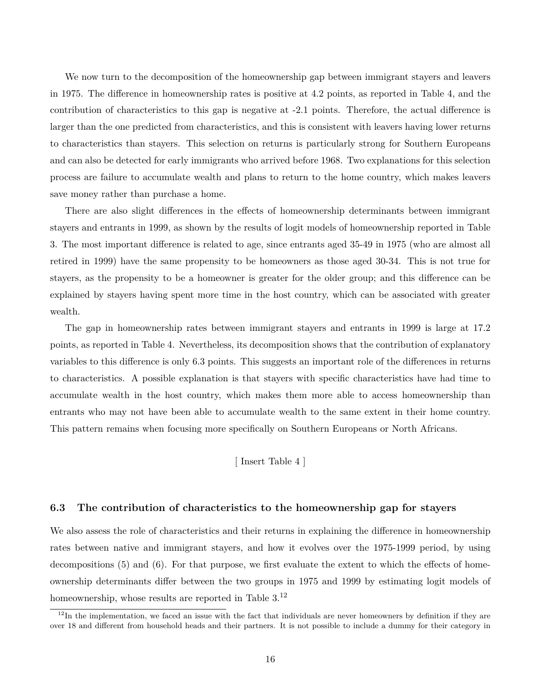We now turn to the decomposition of the homeownership gap between immigrant stayers and leavers in 1975. The difference in homeownership rates is positive at 4.2 points, as reported in Table 4, and the contribution of characteristics to this gap is negative at -2.1 points. Therefore, the actual difference is larger than the one predicted from characteristics, and this is consistent with leavers having lower returns to characteristics than stayers. This selection on returns is particularly strong for Southern Europeans and can also be detected for early immigrants who arrived before 1968. Two explanations for this selection process are failure to accumulate wealth and plans to return to the home country, which makes leavers save money rather than purchase a home.

There are also slight differences in the effects of homeownership determinants between immigrant stayers and entrants in 1999, as shown by the results of logit models of homeownership reported in Table 3. The most important difference is related to age, since entrants aged 35-49 in 1975 (who are almost all retired in 1999) have the same propensity to be homeowners as those aged 30-34. This is not true for stayers, as the propensity to be a homeowner is greater for the older group; and this difference can be explained by stayers having spent more time in the host country, which can be associated with greater wealth.

The gap in homeownership rates between immigrant stayers and entrants in 1999 is large at 17.2 points, as reported in Table 4. Nevertheless, its decomposition shows that the contribution of explanatory variables to this difference is only 6.3 points. This suggests an important role of the differences in returns to characteristics. A possible explanation is that stayers with specific characteristics have had time to accumulate wealth in the host country, which makes them more able to access homeownership than entrants who may not have been able to accumulate wealth to the same extent in their home country. This pattern remains when focusing more specifically on Southern Europeans or North Africans.

## [ Insert Table 4 ]

#### **6.3 The contribution of characteristics to the homeownership gap for stayers**

We also assess the role of characteristics and their returns in explaining the difference in homeownership rates between native and immigrant stayers, and how it evolves over the 1975-1999 period, by using decompositions (5) and (6). For that purpose, we first evaluate the extent to which the effects of homeownership determinants differ between the two groups in 1975 and 1999 by estimating logit models of homeownership, whose results are reported in Table 3.<sup>12</sup>

 $12$ In the implementation, we faced an issue with the fact that individuals are never homeowners by definition if they are over 18 and different from household heads and their partners. It is not possible to include a dummy for their category in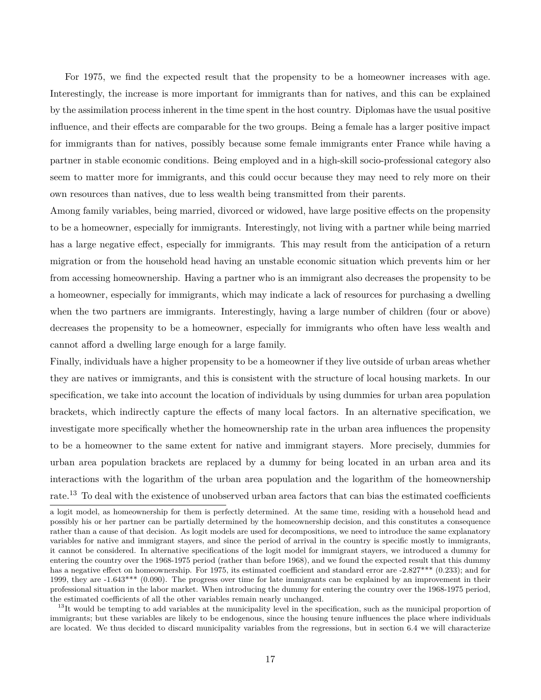For 1975, we find the expected result that the propensity to be a homeowner increases with age. Interestingly, the increase is more important for immigrants than for natives, and this can be explained by the assimilation process inherent in the time spent in the host country. Diplomas have the usual positive influence, and their effects are comparable for the two groups. Being a female has a larger positive impact for immigrants than for natives, possibly because some female immigrants enter France while having a partner in stable economic conditions. Being employed and in a high-skill socio-professional category also seem to matter more for immigrants, and this could occur because they may need to rely more on their own resources than natives, due to less wealth being transmitted from their parents.

Among family variables, being married, divorced or widowed, have large positive effects on the propensity to be a homeowner, especially for immigrants. Interestingly, not living with a partner while being married has a large negative effect, especially for immigrants. This may result from the anticipation of a return migration or from the household head having an unstable economic situation which prevents him or her from accessing homeownership. Having a partner who is an immigrant also decreases the propensity to be a homeowner, especially for immigrants, which may indicate a lack of resources for purchasing a dwelling when the two partners are immigrants. Interestingly, having a large number of children (four or above) decreases the propensity to be a homeowner, especially for immigrants who often have less wealth and cannot afford a dwelling large enough for a large family.

Finally, individuals have a higher propensity to be a homeowner if they live outside of urban areas whether they are natives or immigrants, and this is consistent with the structure of local housing markets. In our specification, we take into account the location of individuals by using dummies for urban area population brackets, which indirectly capture the effects of many local factors. In an alternative specification, we investigate more specifically whether the homeownership rate in the urban area influences the propensity to be a homeowner to the same extent for native and immigrant stayers. More precisely, dummies for urban area population brackets are replaced by a dummy for being located in an urban area and its interactions with the logarithm of the urban area population and the logarithm of the homeownership rate.<sup>13</sup> To deal with the existence of unobserved urban area factors that can bias the estimated coefficients

 $13$ It would be tempting to add variables at the municipality level in the specification, such as the municipal proportion of immigrants; but these variables are likely to be endogenous, since the housing tenure influences the place where individuals are located. We thus decided to discard municipality variables from the regressions, but in section 6.4 we will characterize

a logit model, as homeownership for them is perfectly determined. At the same time, residing with a household head and possibly his or her partner can be partially determined by the homeownership decision, and this constitutes a consequence rather than a cause of that decision. As logit models are used for decompositions, we need to introduce the same explanatory variables for native and immigrant stayers, and since the period of arrival in the country is specific mostly to immigrants, it cannot be considered. In alternative specifications of the logit model for immigrant stayers, we introduced a dummy for entering the country over the 1968-1975 period (rather than before 1968), and we found the expected result that this dummy has a negative effect on homeownership. For 1975, its estimated coefficient and standard error are -2.827\*\*\* (0.233); and for 1999, they are -1.643\*\*\* (0.090). The progress over time for late immigrants can be explained by an improvement in their professional situation in the labor market. When introducing the dummy for entering the country over the 1968-1975 period, the estimated coefficients of all the other variables remain nearly unchanged.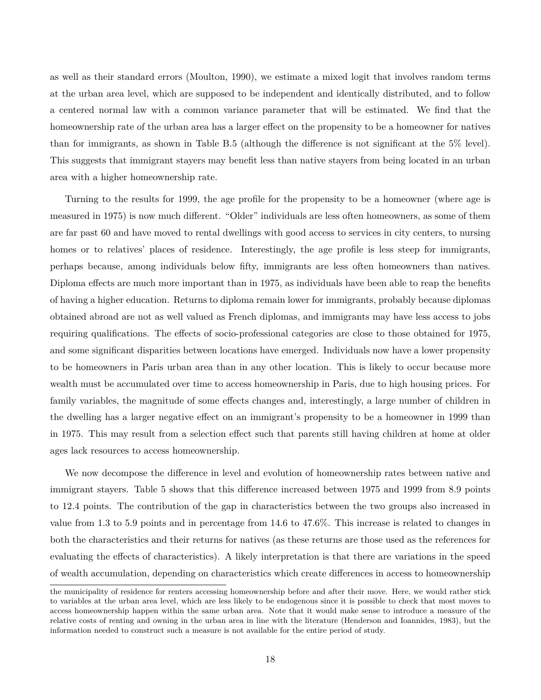as well as their standard errors (Moulton, 1990), we estimate a mixed logit that involves random terms at the urban area level, which are supposed to be independent and identically distributed, and to follow a centered normal law with a common variance parameter that will be estimated. We find that the homeownership rate of the urban area has a larger effect on the propensity to be a homeowner for natives than for immigrants, as shown in Table B.5 (although the difference is not significant at the 5% level). This suggests that immigrant stayers may benefit less than native stayers from being located in an urban area with a higher homeownership rate.

Turning to the results for 1999, the age profile for the propensity to be a homeowner (where age is measured in 1975) is now much different. "Older" individuals are less often homeowners, as some of them are far past 60 and have moved to rental dwellings with good access to services in city centers, to nursing homes or to relatives' places of residence. Interestingly, the age profile is less steep for immigrants, perhaps because, among individuals below fifty, immigrants are less often homeowners than natives. Diploma effects are much more important than in 1975, as individuals have been able to reap the benefits of having a higher education. Returns to diploma remain lower for immigrants, probably because diplomas obtained abroad are not as well valued as French diplomas, and immigrants may have less access to jobs requiring qualifications. The effects of socio-professional categories are close to those obtained for 1975, and some significant disparities between locations have emerged. Individuals now have a lower propensity to be homeowners in Paris urban area than in any other location. This is likely to occur because more wealth must be accumulated over time to access homeownership in Paris, due to high housing prices. For family variables, the magnitude of some effects changes and, interestingly, a large number of children in the dwelling has a larger negative effect on an immigrant's propensity to be a homeowner in 1999 than in 1975. This may result from a selection effect such that parents still having children at home at older ages lack resources to access homeownership.

We now decompose the difference in level and evolution of homeownership rates between native and immigrant stayers. Table 5 shows that this difference increased between 1975 and 1999 from 8.9 points to 12.4 points. The contribution of the gap in characteristics between the two groups also increased in value from 1.3 to 5.9 points and in percentage from 14.6 to 47.6%. This increase is related to changes in both the characteristics and their returns for natives (as these returns are those used as the references for evaluating the effects of characteristics). A likely interpretation is that there are variations in the speed of wealth accumulation, depending on characteristics which create differences in access to homeownership

the municipality of residence for renters accessing homeownership before and after their move. Here, we would rather stick to variables at the urban area level, which are less likely to be endogenous since it is possible to check that most moves to access homeownership happen within the same urban area. Note that it would make sense to introduce a measure of the relative costs of renting and owning in the urban area in line with the literature (Henderson and Ioannides, 1983), but the information needed to construct such a measure is not available for the entire period of study.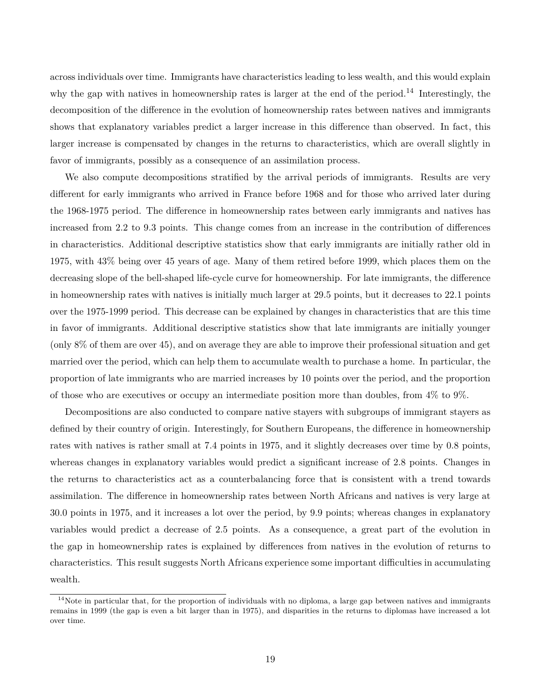across individuals over time. Immigrants have characteristics leading to less wealth, and this would explain why the gap with natives in homeownership rates is larger at the end of the period.<sup>14</sup> Interestingly, the decomposition of the difference in the evolution of homeownership rates between natives and immigrants shows that explanatory variables predict a larger increase in this difference than observed. In fact, this larger increase is compensated by changes in the returns to characteristics, which are overall slightly in favor of immigrants, possibly as a consequence of an assimilation process.

We also compute decompositions stratified by the arrival periods of immigrants. Results are very different for early immigrants who arrived in France before 1968 and for those who arrived later during the 1968-1975 period. The difference in homeownership rates between early immigrants and natives has increased from 2.2 to 9.3 points. This change comes from an increase in the contribution of differences in characteristics. Additional descriptive statistics show that early immigrants are initially rather old in 1975, with 43% being over 45 years of age. Many of them retired before 1999, which places them on the decreasing slope of the bell-shaped life-cycle curve for homeownership. For late immigrants, the difference in homeownership rates with natives is initially much larger at 29.5 points, but it decreases to 22.1 points over the 1975-1999 period. This decrease can be explained by changes in characteristics that are this time in favor of immigrants. Additional descriptive statistics show that late immigrants are initially younger (only 8% of them are over 45), and on average they are able to improve their professional situation and get married over the period, which can help them to accumulate wealth to purchase a home. In particular, the proportion of late immigrants who are married increases by 10 points over the period, and the proportion of those who are executives or occupy an intermediate position more than doubles, from 4% to 9%.

Decompositions are also conducted to compare native stayers with subgroups of immigrant stayers as defined by their country of origin. Interestingly, for Southern Europeans, the difference in homeownership rates with natives is rather small at 7.4 points in 1975, and it slightly decreases over time by 0.8 points, whereas changes in explanatory variables would predict a significant increase of 2.8 points. Changes in the returns to characteristics act as a counterbalancing force that is consistent with a trend towards assimilation. The difference in homeownership rates between North Africans and natives is very large at 30.0 points in 1975, and it increases a lot over the period, by 9.9 points; whereas changes in explanatory variables would predict a decrease of 2.5 points. As a consequence, a great part of the evolution in the gap in homeownership rates is explained by differences from natives in the evolution of returns to characteristics. This result suggests North Africans experience some important difficulties in accumulating wealth.

 $14$ Note in particular that, for the proportion of individuals with no diploma, a large gap between natives and immigrants remains in 1999 (the gap is even a bit larger than in 1975), and disparities in the returns to diplomas have increased a lot over time.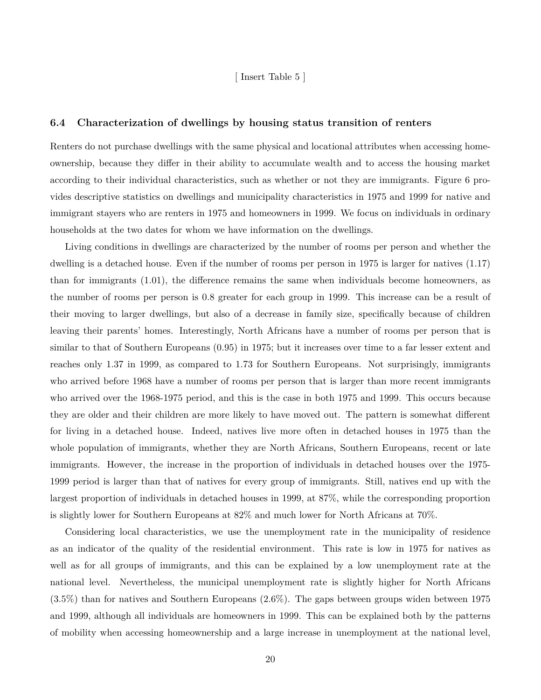#### [ Insert Table 5 ]

#### **6.4 Characterization of dwellings by housing status transition of renters**

Renters do not purchase dwellings with the same physical and locational attributes when accessing homeownership, because they differ in their ability to accumulate wealth and to access the housing market according to their individual characteristics, such as whether or not they are immigrants. Figure 6 provides descriptive statistics on dwellings and municipality characteristics in 1975 and 1999 for native and immigrant stayers who are renters in 1975 and homeowners in 1999. We focus on individuals in ordinary households at the two dates for whom we have information on the dwellings.

Living conditions in dwellings are characterized by the number of rooms per person and whether the dwelling is a detached house. Even if the number of rooms per person in 1975 is larger for natives (1.17) than for immigrants (1.01), the difference remains the same when individuals become homeowners, as the number of rooms per person is 0.8 greater for each group in 1999. This increase can be a result of their moving to larger dwellings, but also of a decrease in family size, specifically because of children leaving their parents' homes. Interestingly, North Africans have a number of rooms per person that is similar to that of Southern Europeans (0.95) in 1975; but it increases over time to a far lesser extent and reaches only 1.37 in 1999, as compared to 1.73 for Southern Europeans. Not surprisingly, immigrants who arrived before 1968 have a number of rooms per person that is larger than more recent immigrants who arrived over the 1968-1975 period, and this is the case in both 1975 and 1999. This occurs because they are older and their children are more likely to have moved out. The pattern is somewhat different for living in a detached house. Indeed, natives live more often in detached houses in 1975 than the whole population of immigrants, whether they are North Africans, Southern Europeans, recent or late immigrants. However, the increase in the proportion of individuals in detached houses over the 1975- 1999 period is larger than that of natives for every group of immigrants. Still, natives end up with the largest proportion of individuals in detached houses in 1999, at 87%, while the corresponding proportion is slightly lower for Southern Europeans at 82% and much lower for North Africans at 70%.

Considering local characteristics, we use the unemployment rate in the municipality of residence as an indicator of the quality of the residential environment. This rate is low in 1975 for natives as well as for all groups of immigrants, and this can be explained by a low unemployment rate at the national level. Nevertheless, the municipal unemployment rate is slightly higher for North Africans (3.5%) than for natives and Southern Europeans (2.6%). The gaps between groups widen between 1975 and 1999, although all individuals are homeowners in 1999. This can be explained both by the patterns of mobility when accessing homeownership and a large increase in unemployment at the national level,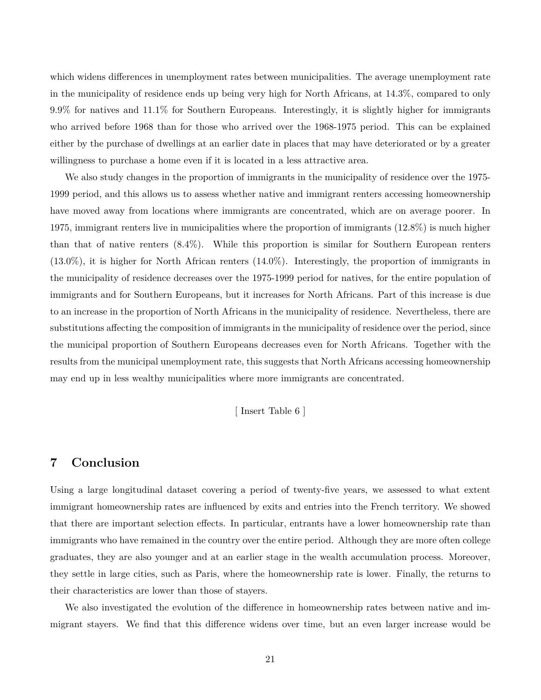which widens differences in unemployment rates between municipalities. The average unemployment rate in the municipality of residence ends up being very high for North Africans, at 14.3%, compared to only 9.9% for natives and 11.1% for Southern Europeans. Interestingly, it is slightly higher for immigrants who arrived before 1968 than for those who arrived over the 1968-1975 period. This can be explained either by the purchase of dwellings at an earlier date in places that may have deteriorated or by a greater willingness to purchase a home even if it is located in a less attractive area.

We also study changes in the proportion of immigrants in the municipality of residence over the 1975- 1999 period, and this allows us to assess whether native and immigrant renters accessing homeownership have moved away from locations where immigrants are concentrated, which are on average poorer. In 1975, immigrant renters live in municipalities where the proportion of immigrants (12.8%) is much higher than that of native renters (8.4%). While this proportion is similar for Southern European renters (13.0%), it is higher for North African renters (14.0%). Interestingly, the proportion of immigrants in the municipality of residence decreases over the 1975-1999 period for natives, for the entire population of immigrants and for Southern Europeans, but it increases for North Africans. Part of this increase is due to an increase in the proportion of North Africans in the municipality of residence. Nevertheless, there are substitutions affecting the composition of immigrants in the municipality of residence over the period, since the municipal proportion of Southern Europeans decreases even for North Africans. Together with the results from the municipal unemployment rate, this suggests that North Africans accessing homeownership may end up in less wealthy municipalities where more immigrants are concentrated.

[ Insert Table 6 ]

## **7 Conclusion**

Using a large longitudinal dataset covering a period of twenty-five years, we assessed to what extent immigrant homeownership rates are influenced by exits and entries into the French territory. We showed that there are important selection effects. In particular, entrants have a lower homeownership rate than immigrants who have remained in the country over the entire period. Although they are more often college graduates, they are also younger and at an earlier stage in the wealth accumulation process. Moreover, they settle in large cities, such as Paris, where the homeownership rate is lower. Finally, the returns to their characteristics are lower than those of stayers.

We also investigated the evolution of the difference in homeownership rates between native and immigrant stayers. We find that this difference widens over time, but an even larger increase would be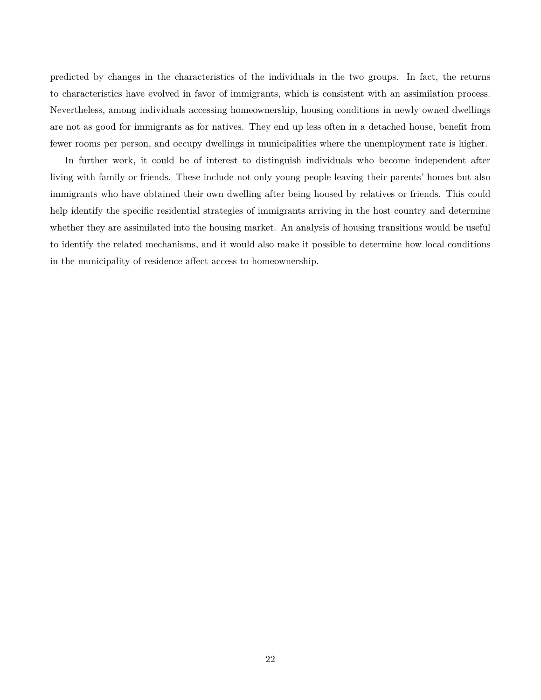predicted by changes in the characteristics of the individuals in the two groups. In fact, the returns to characteristics have evolved in favor of immigrants, which is consistent with an assimilation process. Nevertheless, among individuals accessing homeownership, housing conditions in newly owned dwellings are not as good for immigrants as for natives. They end up less often in a detached house, benefit from fewer rooms per person, and occupy dwellings in municipalities where the unemployment rate is higher.

In further work, it could be of interest to distinguish individuals who become independent after living with family or friends. These include not only young people leaving their parents' homes but also immigrants who have obtained their own dwelling after being housed by relatives or friends. This could help identify the specific residential strategies of immigrants arriving in the host country and determine whether they are assimilated into the housing market. An analysis of housing transitions would be useful to identify the related mechanisms, and it would also make it possible to determine how local conditions in the municipality of residence affect access to homeownership.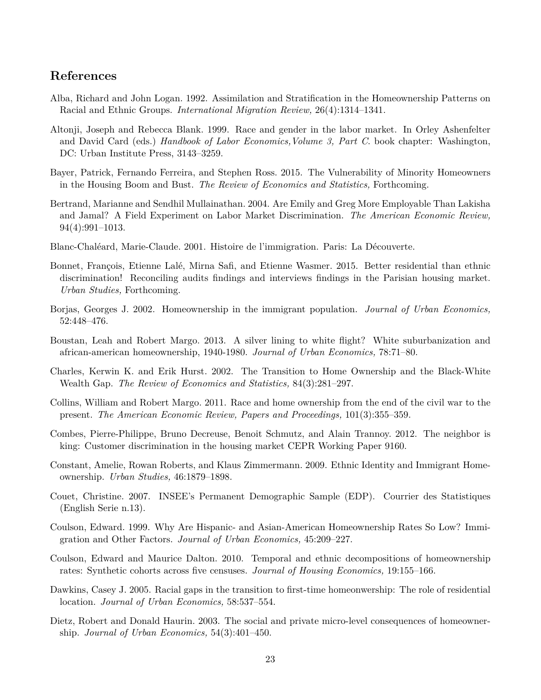## **References**

- Alba, Richard and John Logan. 1992. Assimilation and Stratification in the Homeownership Patterns on Racial and Ethnic Groups. *International Migration Review,* 26(4):1314–1341.
- Altonji, Joseph and Rebecca Blank. 1999. Race and gender in the labor market. In Orley Ashenfelter and David Card (eds.) *Handbook of Labor Economics,Volume 3, Part C*. book chapter: Washington, DC: Urban Institute Press, 3143–3259.
- Bayer, Patrick, Fernando Ferreira, and Stephen Ross. 2015. The Vulnerability of Minority Homeowners in the Housing Boom and Bust. *The Review of Economics and Statistics,* Forthcoming.
- Bertrand, Marianne and Sendhil Mullainathan. 2004. Are Emily and Greg More Employable Than Lakisha and Jamal? A Field Experiment on Labor Market Discrimination. *The American Economic Review,* 94(4):991–1013.
- Blanc-Chaléard, Marie-Claude. 2001. Histoire de l'immigration. Paris: La Découverte.
- Bonnet, François, Etienne Lalé, Mirna Safi, and Etienne Wasmer. 2015. Better residential than ethnic discrimination! Reconciling audits findings and interviews findings in the Parisian housing market. *Urban Studies,* Forthcoming.
- Borjas, Georges J. 2002. Homeownership in the immigrant population. *Journal of Urban Economics,* 52:448–476.
- Boustan, Leah and Robert Margo. 2013. A silver lining to white flight? White suburbanization and african-american homeownership, 1940-1980. *Journal of Urban Economics,* 78:71–80.
- Charles, Kerwin K. and Erik Hurst. 2002. The Transition to Home Ownership and the Black-White Wealth Gap. *The Review of Economics and Statistics,* 84(3):281–297.
- Collins, William and Robert Margo. 2011. Race and home ownership from the end of the civil war to the present. *The American Economic Review, Papers and Proceedings,* 101(3):355–359.
- Combes, Pierre-Philippe, Bruno Decreuse, Benoit Schmutz, and Alain Trannoy. 2012. The neighbor is king: Customer discrimination in the housing market CEPR Working Paper 9160.
- Constant, Amelie, Rowan Roberts, and Klaus Zimmermann. 2009. Ethnic Identity and Immigrant Homeownership. *Urban Studies,* 46:1879–1898.
- Couet, Christine. 2007. INSEE's Permanent Demographic Sample (EDP). Courrier des Statistiques (English Serie n.13).
- Coulson, Edward. 1999. Why Are Hispanic- and Asian-American Homeownership Rates So Low? Immigration and Other Factors. *Journal of Urban Economics,* 45:209–227.
- Coulson, Edward and Maurice Dalton. 2010. Temporal and ethnic decompositions of homeownership rates: Synthetic cohorts across five censuses. *Journal of Housing Economics,* 19:155–166.
- Dawkins, Casey J. 2005. Racial gaps in the transition to first-time homeonwership: The role of residential location. *Journal of Urban Economics,* 58:537–554.
- Dietz, Robert and Donald Haurin. 2003. The social and private micro-level consequences of homeownership. *Journal of Urban Economics,* 54(3):401–450.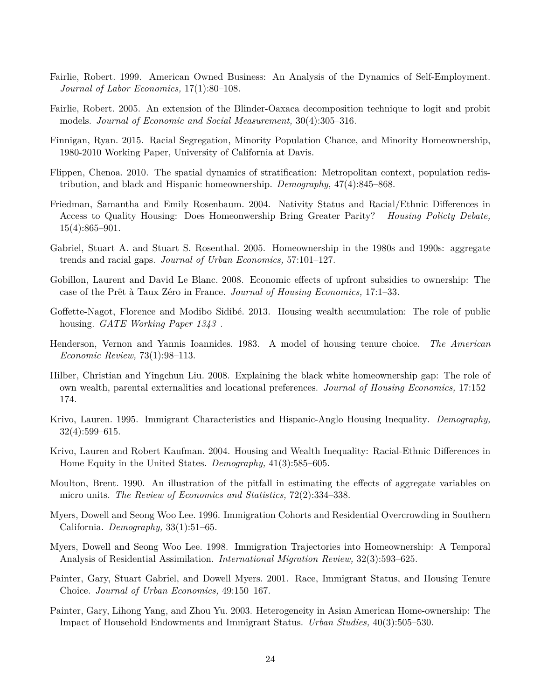- Fairlie, Robert. 1999. American Owned Business: An Analysis of the Dynamics of Self-Employment. *Journal of Labor Economics,* 17(1):80–108.
- Fairlie, Robert. 2005. An extension of the Blinder-Oaxaca decomposition technique to logit and probit models. *Journal of Economic and Social Measurement,* 30(4):305–316.
- Finnigan, Ryan. 2015. Racial Segregation, Minority Population Chance, and Minority Homeownership, 1980-2010 Working Paper, University of California at Davis.
- Flippen, Chenoa. 2010. The spatial dynamics of stratification: Metropolitan context, population redistribution, and black and Hispanic homeownership. *Demography,* 47(4):845–868.
- Friedman, Samantha and Emily Rosenbaum. 2004. Nativity Status and Racial/Ethnic Differences in Access to Quality Housing: Does Homeonwership Bring Greater Parity? *Housing Policty Debate,* 15(4):865–901.
- Gabriel, Stuart A. and Stuart S. Rosenthal. 2005. Homeownership in the 1980s and 1990s: aggregate trends and racial gaps. *Journal of Urban Economics,* 57:101–127.
- Gobillon, Laurent and David Le Blanc. 2008. Economic effects of upfront subsidies to ownership: The case of the Prêt à Taux Zero in France. *Journal of Housing Economics*, 17:1–33.
- Goffette-Nagot, Florence and Modibo Sidibé. 2013. Housing wealth accumulation: The role of public housing. *GATE Working Paper 1343* .
- Henderson, Vernon and Yannis Ioannides. 1983. A model of housing tenure choice. *The American Economic Review,* 73(1):98–113.
- Hilber, Christian and Yingchun Liu. 2008. Explaining the black white homeownership gap: The role of own wealth, parental externalities and locational preferences. *Journal of Housing Economics,* 17:152– 174.
- Krivo, Lauren. 1995. Immigrant Characteristics and Hispanic-Anglo Housing Inequality. *Demography,* 32(4):599–615.
- Krivo, Lauren and Robert Kaufman. 2004. Housing and Wealth Inequality: Racial-Ethnic Differences in Home Equity in the United States. *Demography,* 41(3):585–605.
- Moulton, Brent. 1990. An illustration of the pitfall in estimating the effects of aggregate variables on micro units. *The Review of Economics and Statistics,* 72(2):334–338.
- Myers, Dowell and Seong Woo Lee. 1996. Immigration Cohorts and Residential Overcrowding in Southern California. *Demography,* 33(1):51–65.
- Myers, Dowell and Seong Woo Lee. 1998. Immigration Trajectories into Homeownership: A Temporal Analysis of Residential Assimilation. *International Migration Review,* 32(3):593–625.
- Painter, Gary, Stuart Gabriel, and Dowell Myers. 2001. Race, Immigrant Status, and Housing Tenure Choice. *Journal of Urban Economics,* 49:150–167.
- Painter, Gary, Lihong Yang, and Zhou Yu. 2003. Heterogeneity in Asian American Home-ownership: The Impact of Household Endowments and Immigrant Status. *Urban Studies,* 40(3):505–530.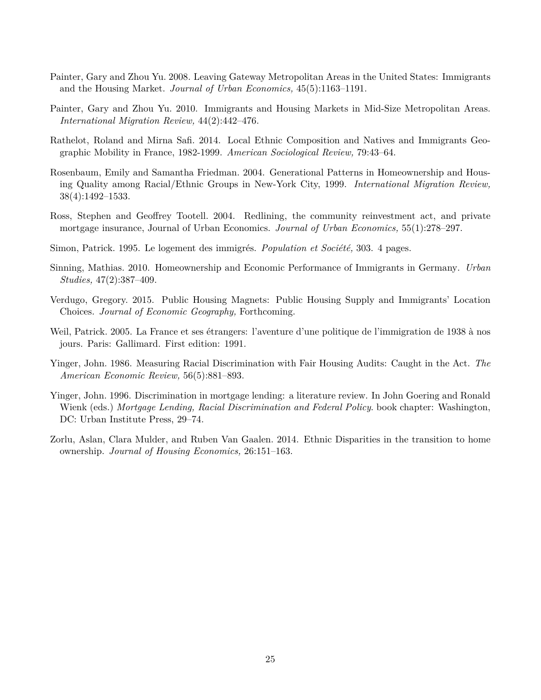- Painter, Gary and Zhou Yu. 2008. Leaving Gateway Metropolitan Areas in the United States: Immigrants and the Housing Market. *Journal of Urban Economics,* 45(5):1163–1191.
- Painter, Gary and Zhou Yu. 2010. Immigrants and Housing Markets in Mid-Size Metropolitan Areas. *International Migration Review,* 44(2):442–476.
- Rathelot, Roland and Mirna Safi. 2014. Local Ethnic Composition and Natives and Immigrants Geographic Mobility in France, 1982-1999. *American Sociological Review,* 79:43–64.
- Rosenbaum, Emily and Samantha Friedman. 2004. Generational Patterns in Homeownership and Housing Quality among Racial/Ethnic Groups in New-York City, 1999. *International Migration Review,* 38(4):1492–1533.
- Ross, Stephen and Geoffrey Tootell. 2004. Redlining, the community reinvestment act, and private mortgage insurance, Journal of Urban Economics. *Journal of Urban Economics,* 55(1):278–297.
- Simon, Patrick. 1995. Le logement des immigrés. *Population et Société*, 303. 4 pages.
- Sinning, Mathias. 2010. Homeownership and Economic Performance of Immigrants in Germany. *Urban Studies,* 47(2):387–409.
- Verdugo, Gregory. 2015. Public Housing Magnets: Public Housing Supply and Immigrants' Location Choices. *Journal of Economic Geography,* Forthcoming.
- Weil, Patrick. 2005. La France et ses étrangers: l'aventure d'une politique de l'immigration de 1938 à nos jours. Paris: Gallimard. First edition: 1991.
- Yinger, John. 1986. Measuring Racial Discrimination with Fair Housing Audits: Caught in the Act. *The American Economic Review,* 56(5):881–893.
- Yinger, John. 1996. Discrimination in mortgage lending: a literature review. In John Goering and Ronald Wienk (eds.) *Mortgage Lending, Racial Discrimination and Federal Policy*. book chapter: Washington, DC: Urban Institute Press, 29–74.
- Zorlu, Aslan, Clara Mulder, and Ruben Van Gaalen. 2014. Ethnic Disparities in the transition to home ownership. *Journal of Housing Economics,* 26:151–163.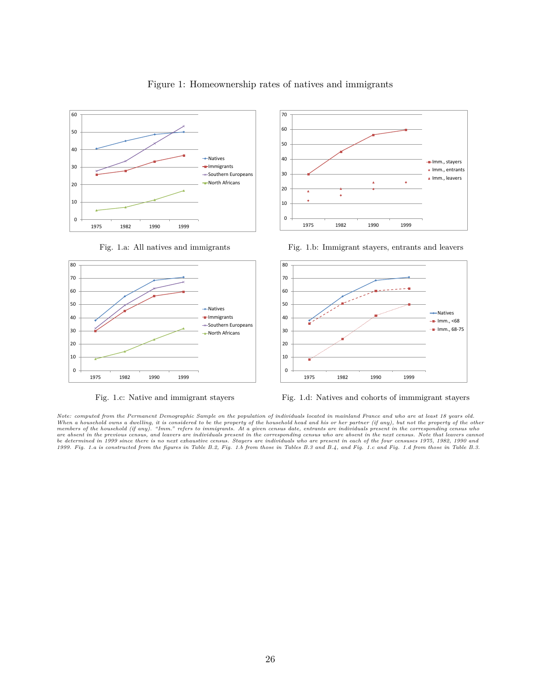

Figure 1: Homeownership rates of natives and immigrants





Fig. 1.a: All natives and immigrants Fig. 1.b: Immigrant stayers, entrants and leavers



Fig. 1.c: Native and immigrant stayers Fig. 1.d: Natives and cohorts of immmigrant stayers

Note: computed from the Permanent Demographic Sample on the population of individuals located in mainland France and who are at least 18 years old.<br>When a household owns a dwelling, it is considered to be the property of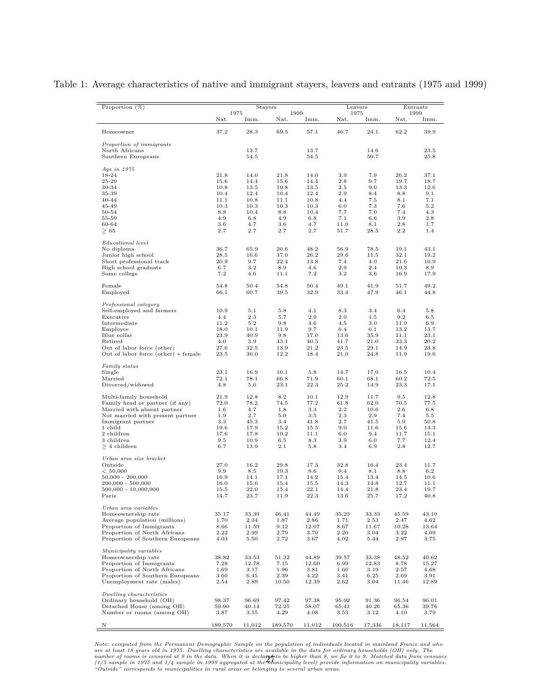Table 1: Average characteristics of native and immigrant stayers, leavers and entrants (1975 and 1999)

| Proportion $(\%)$                                                |                  | <b>Stayers</b><br>1975<br>1999 |               | Leavers        |                   | Entrants<br>1999 |               |               |
|------------------------------------------------------------------|------------------|--------------------------------|---------------|----------------|-------------------|------------------|---------------|---------------|
|                                                                  | Nat.             | Imm.                           | Nat.          | Imm.           | 1975<br>Nat.      | Imm.             | Nat.          | Imm.          |
| Homeowner                                                        | 37.2             | 28.3                           | 69.5          | 57.1           | 46.7              | 24.1             | 62.2          | 39.9          |
| Proportion of immigrants                                         |                  |                                |               |                |                   |                  |               |               |
| North Africans                                                   |                  | 13.7                           |               | 13.7           |                   | 14.6             |               | 23.5          |
| Southern Europeans                                               |                  | 54.5                           |               | 54.5           |                   | 50.7             |               | 25.8          |
| Age in 1975                                                      |                  |                                |               |                |                   |                  |               |               |
| 18-24                                                            | 21.8             | 14.0                           | 21.8          | 14.0           | 3.9               | 7.9              | 26.2          | 37.1          |
| 25-29<br>30-34                                                   | 15.6<br>10.8     | 14.4<br>13.5                   | 15.6<br>10.8  | 14.4<br>13.5   | 2.8<br>2.5        | 9.7<br>9.0       | 19.7<br>13.3  | 18.7<br>12.6  |
| 35-39                                                            | 10.4             | 12.4                           | 10.4          | 12.4           | 2.9               | 8.4              | 8.8           | 9.1           |
| $40 - 44$                                                        | 11.1             | 10.8                           | 11.1          | 10.8           | 4.4               | 7.5              | 8.1           | 7.1           |
| 45-49                                                            | 10.3             | 10.3                           | 10.3          | 10.3           | 6.0               | 7.3              | 7.6           | 5.2           |
| 50-54                                                            | 8.8              | 10.4                           | 8.8           | 10.4           | 7.7               | 7.0              | 7.4           | 4.3           |
| 55-59                                                            | 4.9              | 6.8                            | 4.9           | 6.8            | 7.1               | 6.6              | 3.9           | 2.8           |
| 60-64<br>$\geq 65$                                               | 3.6<br>2.7       | 4.7<br>2.7                     | 3.6<br>2.7    | 4.7<br>$2.7\,$ | 11.0<br>51.7      | 8.1<br>28.5      | 2.8<br>2.2    | 1.7<br>1.4    |
|                                                                  |                  |                                |               |                |                   |                  |               |               |
| Educational level<br>No diploma                                  | 36.7             | 65.9                           | 20.6          | 48.2           | 56.9              | 78.5             | 19.1          | 43.1          |
| Junior high school                                               | 28.5             | 16.6                           | 37.0          | 26.2           | 29.6              | 11.5             | 32.1          | 19.2          |
| Short professional track                                         | 20.9             | 9.7                            | 22.4          | 13.8           | 7.4               | 4.0              | 21.6          | 10.9          |
| High school graduate                                             | 6.7              | 3.2                            | 8.9           | 4.6            | 2.9               | 2.4              | 10.3          | 8.9           |
| Some college                                                     | 7.2              | 4.6                            | 11.1          | 7.2            | 3.2               | 3.6              | 16.9          | 17.9          |
| Female<br>Employed                                               | 54.8<br>66.1     | 50.4<br>60.7                   | 54.8<br>39.5  | 50.4<br>32.9   | 49.1<br>33.4      | 41.9<br>47.9     | 51.7<br>46.1  | 49.2<br>44.8  |
|                                                                  |                  |                                |               |                |                   |                  |               |               |
| Professional category<br>Self-employed and farmers               | 10.9             | 5.1                            | 5.8           | 4.1            | 8.3               | 3.4              | 6.4           | 5.8           |
| Executive                                                        | 4.4              | 2.3                            | 5.7           | 2.9            | 2.0               | 1.5              | 9.2           | $6.5\,$       |
| Intermediate                                                     | 11.2             | 5.2                            | 9.8           | 4.6            | 4.5               | 3.0              | 11.9          | 6.9           |
| Employee                                                         | 18.0             | 10.1                           | 11.9          | 9.7            | 6.4               | 6.1              | 13.2          | 13.7          |
| Blue collar                                                      | 23.9             | 40.9                           | 9.8           | 17.0           | 13.6              | 35.9             | 11.1          | 23.1          |
| Retired                                                          | 4.0              | 3.9                            | 43.1          | 40.5           | 41.7              | 21.0             | 33.3          | 20.2          |
| Out of labor force (other)                                       | 27.6             | 32.5                           | 13.9          | 21.2           | 23.5              | 29.1             | 14.9          | 23.8          |
| Out of labor force (other) * female                              | 23.5             | 30.0                           | 12.2          | 18.4           | 21.0              | 24.8             | 11.9          | 19.6          |
| Family status<br>Single                                          | 23.1             | 16.9                           | 10.1          | 5.8            | 14.7              | 17.0             | 16.5          | 10.4          |
| Married                                                          | 72.1             | 78.1                           | 66.8          | 71.9           | 60.1              | 68.1             | 60.2          | 72.5          |
| Divorced/widowed                                                 | 4.8              | 5.0                            | 23.1          | 22.3           | 25.2              | 14.9             | 23.3          | 17.1          |
| Multi-family household                                           | $^{21.9}$        | 12.8                           | 8.2           | 10.1           | 12.9              | 11.7             | 9.5           | 12.8          |
| Family head or partner (if any)                                  | 72.0             | 78.2                           | 74.5          | 77.2           | 61.8              | 62.0             | 70.5          | 77.5          |
| Married with absent partner                                      | 1.6              | 4.7                            | 1.8           | 3.3            | 2.2               | 10.6             | 2.6           | $6.8\,$       |
| Not married with present partner                                 | 1.9              | 2.7                            | 5.0           | 3.5            | 2.3               | 2.9              | 7.4           | $5.5\,$       |
| Immigrant partner                                                | 3.3              | 45.3                           | 3.4           | 41.8           | 2.7               | 41.5             | 5.9           | 50.8          |
| 1 child<br>2 children                                            | 19.6<br>17.6     | 17.9<br>17.8                   | 15.2<br>10.2  | 15.5<br>11.1   | 9.0<br>6.0        | 11.6<br>9.4      | 15.6<br>11.7  | 14.3<br>15.1  |
| 3 children                                                       | $9.5\,$          | 10.9                           | 6.5           | 8.3            | 3.9               | 6.0              | 7.7           | 12.4          |
| $\geq 4$ children                                                | 6.7              | 13.9                           | 2.1           | 5.8            | 3.4               | 6.9              | 2.8           | 12.7          |
| Urban area size bracket                                          |                  |                                |               |                |                   |                  |               |               |
| Outside                                                          | 27.0             | 16.2                           | 29.8          | 17.3           | 32.8              | 16.4             | 23.4          | 11.7          |
| < 50,000                                                         | 9.9              | 8.5                            | 10.3          | 8.6            | 9.4               | 8.1              | 8.8           | 6.2           |
| $50,000 - 200,000$                                               | 16.9             | 14.1                           | 17.1          | 14.2           | 15.4              | 13.4             | 14.5          | 10.6          |
| $200,000 - 500,000$<br>500,000 - 10,000,000                      | 16.0<br>15.5     | 15.6<br>22.0                   | 15.4<br>15.4  | 15.5<br>22.1   | 14.3<br>14.4      | 14.8<br>21.8     | 12.7<br>23.4  | 11.1<br>19.7  |
| Paris                                                            | 14.7             | 23.7                           | 11.9          | 22.3           | 13.6              | 25.7             | 17.2          | 40.8          |
| Urban area variables                                             |                  |                                |               |                |                   |                  |               |               |
| Homeownership rate                                               | 35.17            | 33.39                          | 46.41         | 44.49          | 35.23             | 33.33            | 45.59         | 43.10         |
| Average population (millions)                                    | 1.70             | 2.34                           | 1.87          | 2.86           | 1.71              | 2.53             | 2.47          | 4.62          |
| Proportion of Immigrants                                         | 8.66             | 11.59                          | 9.12          | 12.07          | 8.67              | 11.67            | 10.28         | 13.64         |
| Proportion of North Africans<br>Proportion of Southern Europeans | $2.22\,$<br>4.03 | 2.99<br>5.50                   | 2.79<br>2.72  | 3.70<br>3.67   | $2.20\,$<br>4.02  | 3.04<br>5.44     | 3.22<br>2.97  | 4.09<br>3.75  |
| Municipality variables                                           |                  |                                |               |                |                   |                  |               |               |
| Homeownership rate                                               | 38.82            | 33.53                          | 51.32         | 44.89          | 39.57             | 33.38            | 48.52         | 40.62         |
| Proportion of Immigrants                                         | 7.28             | 12.78                          | 7.15          | 12.60          | 6.99              | 12.83            | 8.78          | 15.27         |
| Proportion of North Africans                                     | 1.69             | 3.17                           | 1.96          | 3.81           | 1.60              | 3.19             | 2.57          | 4.68          |
| Proportion of Southern Europeans<br>Unemployment rate (males)    | 3.60<br>2.54     | 6.45<br>2.89                   | 2.39<br>10.50 | 4.22<br>12.39  | 3.41<br>$_{2.62}$ | 6.25<br>3.04     | 2.69<br>11.46 | 3.91<br>12.89 |
|                                                                  |                  |                                |               |                |                   |                  |               |               |
| Dwelling characteristics<br>Ordinary household (OH)              | 98.37            | 96.69                          | 97.42         | 97.38          | 95.92             | 91.36            | 96.54         | 96.01         |
| Detached House (among OH)                                        | 59.90            | 40.14                          | 72.25         | 58.07          | 65.41             | 40.26            | 65.36         | 39.76         |
| Number or rooms (among OH)                                       | 3.87             | 3.55                           | 4.29          | 4.08           | 3.53              | 3.12             | 4.10          | 3.79          |
|                                                                  |                  |                                |               |                |                   |                  |               |               |
| Ν                                                                | 189,570          | 11,012                         | 189,570       | 11,012         | 100,516           | 17,336           | 18,117        | 11,564        |

Note: computed from the Permanent Demographic Sample on the population of individuals located in mainland France and who<br>are at least 18 years old in 1975. Dwelling characteristics are available in the data for ordinary h  $\frac{2}{m}$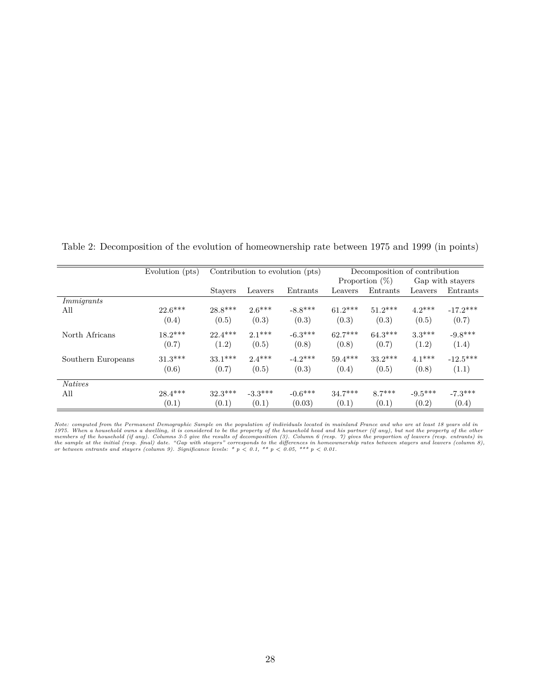Evolution (pts) Contribution to evolution (pts) Decomposition of contribution Proportion  $(\%)$  Gap with stayers Stayers Leavers Entrants Leavers Entrants Leavers Entrants *Immigrants* All  $22.6***$   $28.8***$   $2.6***$   $-8.8***$   $61.2***$   $51.2***$   $4.2***$   $-17.2***$  $(0.4)$   $(0.5)$   $(0.3)$   $(0.3)$   $(0.3)$   $(0.5)$   $(0.7)$ North Africans 18.2\*\*\* 22.4\*\*\* 2.1\*\*\* -6.3\*\*\* 62.7\*\*\* 64.3\*\*\* 3.3\*\*\* -9.8\*\*\*  $(0.7)$   $(1.2)$   $(0.5)$   $(0.8)$   $(0.8)$   $(0.7)$   $(1.2)$   $(1.4)$ Southern Europeans 31.3\*\*\* 33.1\*\*\* 2.4\*\*\* -4.2\*\*\* 59.4\*\*\* 33.2\*\*\* 4.1\*\*\* -12.5\*\*\*  $(0.6)$   $(0.7)$   $(0.5)$   $(0.3)$   $(0.4)$   $(0.5)$   $(0.8)$   $(1.1)$ *Natives* All 28.4\*\*\* 32.3\*\*\* -3.3\*\*\* -0.6\*\*\* 34.7\*\*\* 8.7\*\*\* -9.5\*\*\* -7.3\*\*\*  $(0.1)$   $(0.1)$   $(0.1)$   $(0.03)$   $(0.1)$   $(0.1)$   $(0.2)$   $(0.4)$ 

Table 2: Decomposition of the evolution of homeownership rate between 1975 and 1999 (in points)

Note: computed from the Permanent Demographic Sample on the population of individuals located in mainland France and who are at least 18 years old in<br>1975. When a household owns a dwelling, it is considered to be the prope the sample at the initial (resp. final) date. "Gap with stayers" corresponds to the differences in homeownership rates between stayers and leavers (column 8), or between entrants and stayers (column 8),  $\sigma$  of  $\rho$ ,  $\sigma$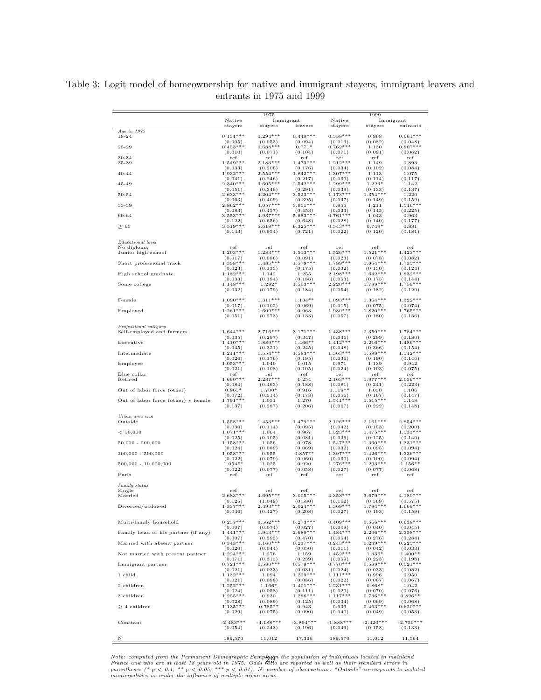|                                     |                            | 1975                  |                       |                       | 1999                  |                       |
|-------------------------------------|----------------------------|-----------------------|-----------------------|-----------------------|-----------------------|-----------------------|
|                                     | Native<br>$_{\rm stayers}$ | stayers               | Immigrant<br>leavers  | Native<br>stayers     | stayers               | Immigrant<br>entrants |
| Age in 1975                         |                            |                       |                       |                       |                       |                       |
| $18 - 24$                           | $0.131***$<br>(0.005)      | $0.294***$<br>(0.053) | $0.449***$<br>(0.094) | $0.558***$<br>(0.013) | 0.968<br>(0.082)      | $0.661***$<br>(0.048) |
| $25 - 29$                           | $0.453***$<br>(0.010)      | $0.638***$            | $0.771*$              | $0.762***$<br>(0.071) | 1.130                 | $0.807***$            |
| 30-34                               | ref                        | (0.071)<br>ref        | (0.104)<br>ref        | ref                   | (0.091)<br>ref        | (0.062)<br>ref        |
| 35-39                               | $1.549***$                 | $2.183***$            | $1.473***$            | $1.212***$            | 1.149                 | 0.893                 |
| $40 - 44$                           | (0.033)<br>$1.932***$      | (0.206)<br>$2.554***$ | (0.176)<br>$1.842***$ | (0.034)<br>$1.307***$ | (0.102)<br>1.113      | (0.084)<br>1.075      |
|                                     | (0.041)                    | (0.246)               | (0.217)               | (0.039)               | (0.114)               | (0.117)               |
| 45-49                               | $2.340***$<br>(0.051)      | $3.605***$<br>(0.346) | $2.542***$<br>(0.291) | $1.299***$<br>(0.039) | $1.223*$<br>(0.133)   | 1.142<br>(0.137)      |
| 50-54                               | $2.633***$                 | $4.204***$            | $3.523***$            | $1.173***$            | $1.354***$            | 1.220                 |
| 55-59                               | (0.063)<br>$2.862***$      | (0.409)<br>$4.057***$ | (0.395)<br>$3.951***$ | (0.037)<br>0.955      | (0.149)<br>1.211      | (0.159)<br>$1.516***$ |
|                                     | (0.083)                    | (0.457)               | (0.453)               | (0.033)               | (0.145)               | (0.225)               |
| 60-64                               | $3.553***$<br>(0.122)      | $4.937***$<br>(0.656) | $5.683***$<br>(0.648) | $0.761***$<br>(0.028) | 1.043<br>(0.140)      | 0.963<br>(0.177)      |
| $\geq 65$                           | $3.519***$                 | $5.619***$            | $6.325***$            | $0.543***$            | $0.749*$              | 0.881                 |
|                                     | (0.143)                    | (0.954)               | (0.721)               | (0.022)               | (0.120)               | (0.181)               |
| Educational level                   |                            |                       |                       |                       |                       |                       |
| No diploma<br>Junior high school    | ref<br>$1.203***$          | ref<br>$1.283***$     | ref<br>$1.513***$     | ref<br>$1.526***$     | ref<br>$1.521***$     | ref<br>$1.423***$     |
|                                     | (0.017)                    | (0.086)               | (0.091)               | (0.023)               | (0.078)               | (0.082)               |
| Short professional track            | $1.338***$                 | $1.485***$            | $1.578***$            | $1.789***$            | $1.854***$            | $1.735***$            |
| High school graduate                | (0.023)<br>$1.182***$      | (0.133)<br>1.142      | (0.175)<br>1.255      | (0.032)<br>$2.198***$ | (0.130)<br>$1.642***$ | (0.124)<br>$1.832***$ |
|                                     | (0.033)                    | (0.184)               | (0.186)               | (0.053)               | (0.175)               | (0.144)               |
| Some college                        | $1.148***$<br>(0.032)      | $1.282*$<br>(0.179)   | $1.503***$<br>(0.184) | $2.220***$<br>(0.054) | $1.788***$<br>(0.182) | $1.759***$<br>(0.120) |
|                                     |                            |                       |                       |                       |                       |                       |
| Female                              | $1.090***$<br>(0.017)      | $1.311***$<br>(0.102) | $1.134**$<br>(0.069)  | $1.093***$<br>(0.015) | $1.364***$<br>(0.075) | $1.322***$<br>(0.074) |
| Employed                            | $1.261***$                 | $1.609***$            | 0.963                 | $1.980***$            | $1.820***$            | $1.765***$            |
|                                     | (0.051)                    | (0.273)               | (0.133)               | (0.057)               | (0.180)               | (0.136)               |
| Professional category               |                            |                       |                       |                       |                       |                       |
| Self-employed and farmers           | $1.644***$<br>(0.035)      | $2.716***$<br>(0.297) | $3.171***$<br>(0.347) | $1.438***$<br>(0.045) | $2.359***$<br>(0.299) | $1.784***$<br>(0.180) |
| Executive                           | $1.410***$                 | $1.889***$            | $1.466**$             | $1.412***$            | $2.216***$            | $1.486***$            |
| Intermediate                        | (0.045)<br>$1.211***$      | (0.321)<br>$1.554***$ | (0.245)<br>$1.583***$ | (0.048)<br>$1.363***$ | (0.366)<br>$1.598***$ | (0.154)               |
|                                     | (0.026)                    | (0.176)               | (0.195)               | (0.036)               | (0.190)               | $1.512***$<br>(0.146) |
| Employee                            | $1.053***$                 | 1.040                 | 1.015                 | 0.971                 | 1.139                 | 0.942                 |
| Blue collar                         | (0.021)<br>ref             | (0.108)<br>ref        | (0.105)<br>ref        | (0.024)<br>ref        | (0.103)<br>ref        | (0.075)<br>ref        |
| Retired                             | $1.660***$                 | $2.237***$            | 1.254                 | $2.163***$            | $1.977***$            | $2.056***$            |
| Out of labor force (other)          | (0.084)<br>$0.865*$        | (0.463)<br>1.700*     | (0.188)<br>0.916      | (0.081)<br>$1.119**$  | (0.241)<br>1.030      | (0.223)<br>1.106      |
|                                     | (0.072)                    | (0.514)               | (0.178)               | (0.056)               | (0.167)               | (0.147)               |
| Out of labor force (other) * female | $1.791***$                 | 1.051                 | 1.270                 | $1.541***$            | $1.515***$            | 1.148                 |
|                                     | (0.137)                    | (0.287)               | (0.206)               | (0.067)               | (0.222)               | (0.148)               |
| Urban area size<br>Outside          | $1.558***$                 | $1.453***$            | $1.479***$            | $2.126***$            | $2.161***$            | $2.854***$            |
|                                     | (0.030)                    | (0.114)               | (0.095)               | (0.042)               | (0.153)               | (0.200)               |
| < 50,000                            | $1.071***$                 | 1.064                 | 0.967                 | $1.523***$            | $1.475***$            | $1.533***$            |
| $50,000 - 200,000$                  | (0.025)<br>$1.158***$      | (0.105)<br>1.056      | (0.081)<br>0.978      | (0.036)<br>$1.547***$ | (0.125)<br>$1.330***$ | (0.140)<br>$1.331***$ |
|                                     | (0.024)                    | (0.089)               | (0.069)               | (0.032)               | (0.095)               | (0.094)               |
| $200,000 - 500,000$                 | $1.058***$<br>(0.022)      | 0.955<br>(0.079)      | $0.857**$<br>(0.060)  | $1.397***$<br>(0.030) | $1.426***$<br>(0.100) | $1.336***$<br>(0.094) |
| 500,000 - 10,000,000                | $1.054**$                  | 1.025                 | 0.920                 | $1.276***$            | $1.203***$            | $1.156**$             |
| Paris                               | (0.022)                    | (0.077)               | (0.058)               | (0.027)               | (0.077)               | (0.068)               |
|                                     | ref                        | ref                   | ref                   | ref                   | ref                   | ref                   |
| Family status                       |                            |                       |                       |                       |                       |                       |
| Single<br>Married                   | ref<br>$2.683***$          | ref<br>$4.695***$     | ref<br>$3.005***$     | ref<br>$4.353***$     | ref<br>$3.679***$     | ref<br>$4.189***$     |
|                                     | (0.125)                    | (1.049)               | (0.580)               | (0.162)               | (0.569)               | (0.575)               |
| Divorced/widowed                    | $1.337***$<br>(0.046)      | $2.493***$<br>(0.427) | $2.024***$<br>(0.208) | $1.369***$<br>(0.027) | $1.784***$<br>(0.193) | $1.669***$<br>(0.159) |
|                                     |                            |                       |                       |                       |                       |                       |
| Multi-family household              | $0.257***$<br>(0.007)      | $0.562***$<br>(0.074) | $0.273***$<br>(0.027) | $0.409***$<br>(0.008) | $0.566***$<br>(0.040) | $0.638***$<br>(0.045) |
| Family head or his partner (if any) | $1.441***$                 | $1.943***$            | $2.689***$            | $1.484***$            | $2.206***$            | $2.358***$            |
| Married with absent partner         | (0.007)<br>$0.343***$      | (0.393)<br>$0.160***$ | (0.470)<br>$0.237***$ | (0.054)<br>$0.243***$ | (0.276)<br>$0.249***$ | (0.284)<br>$0.225***$ |
|                                     | (0.020)                    | (0.044)               | (0.050)               | (0.011)               | (0.042)               | (0.033)               |
| Not married with present partner    | $1.224***$<br>(0.071)      | 1.276<br>(0.313)      | 1.159<br>(0.239)      | $1.452***$<br>(0.059) | $1.336*$<br>(0.223)   | $1.400**$<br>(0.198)  |
| Immigrant partner                   | $0.721***$                 | $0.580***$            | $0.579***$            | $0.770***$            | $0.588***$            | $0.521***$            |
|                                     | (0.021)<br>$1.132***$      | (0.033)               | (0.031)<br>$1.229***$ | (0.024)<br>$1.111***$ | (0.033)               | (0.032)               |
| 1 child                             | (0.021)                    | 1.094<br>(0.088)      | (0.086)               | (0.022)               | 0.996<br>(0.067)      | 0.950<br>(0.067)      |
| 2 children                          | $1.252***$                 | $1.166*$              | $1.401***$            | $1.231***$            | $0.868*$              | 1.042                 |
| 3 children                          | (0.024)<br>$1.255***$      | (0.058)<br>0.930      | (0.111)<br>$1.286***$ | (0.029)<br>$1.117***$ | (0.070)<br>$0.736***$ | (0.076)<br>$0.826**$  |
|                                     | (0.028)                    | (0.089)               | (0.125)               | (0.034)               | (0.069)               | (0.068)               |
| $> 4$ children                      | $1.135***$<br>(0.029)      | $0.785**$<br>(0.075)  | 0.943<br>(0.090)      | 0.939<br>(0.040)      | $0.463***$<br>(0.049) | $0.620***$<br>(0.053) |
|                                     |                            |                       |                       |                       |                       |                       |
| Constant                            | $-2.483***$                | $-4.188***$           | $-3.894***$           | $-1.888***$           | $-2.420***$           | $-2.750***$           |
|                                     | (0.054)                    | (0.243)               | (0.196)               | (0.043)               | (0.158)               | (0.133)               |
| Ν                                   | 189,570                    | 11,012                | 17,336                | 189,570               | 11,012                | 11,564                |

Table 3: Logit model of homeownership for native and immigrant stayers, immigrant leavers and entrants in 1975 and 1999

Note: computed from the Permanent Demographic Samp $\mathbf{A}$  and population of individuals located in mainland<br>France and who are at least 18 years old in 1975. Odds ratho are reported as well as their standard errors in<br>pa .<br>MH

 $\overline{a}$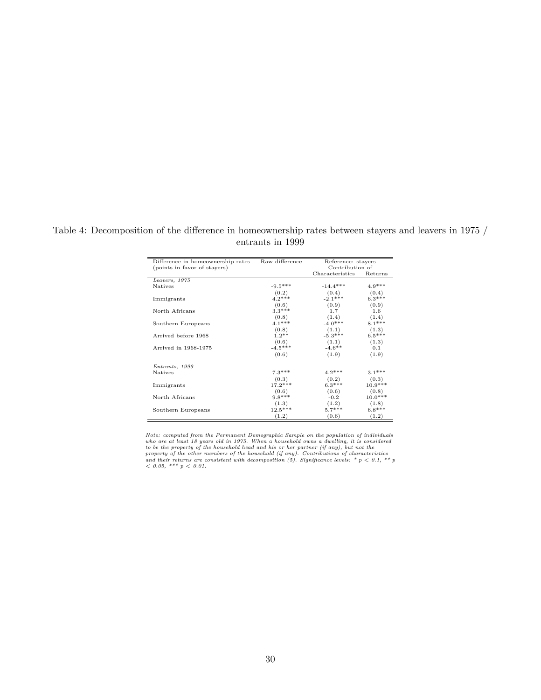Table 4: Decomposition of the difference in homeownership rates between stayers and leavers in 1975 / entrants in 1999

| Difference in homeownership rates | Raw difference | Reference: stayers |           |
|-----------------------------------|----------------|--------------------|-----------|
| (points in favor of stayers)      |                | Contribution of    |           |
|                                   |                | Characteristics    | Returns   |
| Leavers, 1975                     |                |                    |           |
| <b>Natives</b>                    | $-9.5***$      | $-14.4***$         | $4.9***$  |
|                                   | (0.2)          | (0.4)              | (0.4)     |
| Immigrants                        | $4.2***$       | $-2.1***$          | $6.3***$  |
|                                   | (0.6)          | (0.9)              | (0.9)     |
| North Africans                    | $3.3***$       | 1.7                | 1.6       |
|                                   | (0.8)          | (1.4)              | (1.4)     |
| Southern Europeans                | $4.1***$       | $-4.0***$          | $8.1***$  |
|                                   | (0.8)          | (1.1)              | (1.3)     |
| Arrived before 1968               | $1.2**$        | $-5.3***$          | $6.5***$  |
|                                   | (0.6)          | (1.1)              | (1.3)     |
| Arrived in 1968-1975              | $-4.5***$      | $-4.6***$          | 0.1       |
|                                   | (0.6)          | (1.9)              | (1.9)     |
| Entrants, 1999                    |                |                    |           |
| <b>Natives</b>                    | $7.3***$       | $4.2***$           | $3.1***$  |
|                                   | (0.3)          | (0.2)              | (0.3)     |
| Immigrants                        | $17.2***$      | $6.3***$           | $10.9***$ |
|                                   | (0.6)          | (0.6)              | (0.8)     |
| North Africans                    | $9.8***$       | $-0.2$             | $10.0***$ |
|                                   | (1.3)          | (1.2)              | (1.8)     |
| Southern Europeans                | $12.5***$      | $5.7***$           | $6.8***$  |
|                                   | (1.2)          | (0.6)              | (1.2)     |

Note: computed from the Permanent Demographic Sample on the population of individuals<br>who are at least 18 years old in 1975. When a household owns a dwelling, it is considered<br>to be the property of the household head and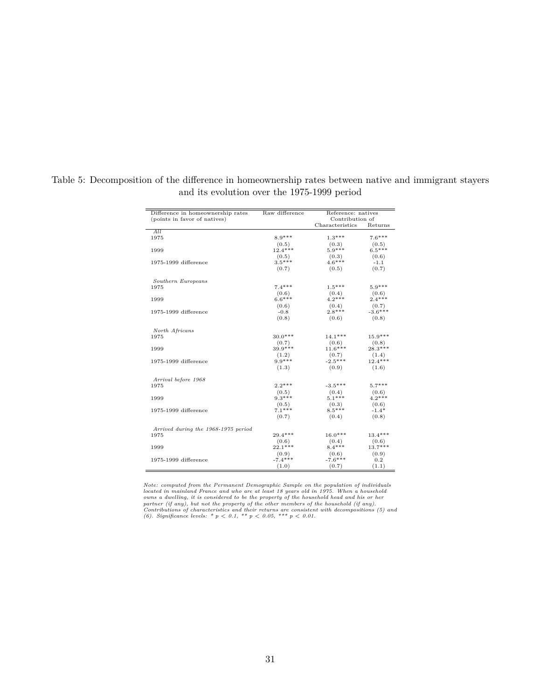| Difference in homeownership rates   | Raw difference |                 | Reference: natives |  |  |  |
|-------------------------------------|----------------|-----------------|--------------------|--|--|--|
| (points in favor of natives)        |                | Contribution of |                    |  |  |  |
|                                     |                | Characteristics | Returns            |  |  |  |
| All.                                |                |                 |                    |  |  |  |
| 1975                                | $8.9***$       | $1.3***$        | $7.6***$           |  |  |  |
|                                     | (0.5)          | (0.3)           | (0.5)              |  |  |  |
| 1999                                | $12.4***$      | $5.9***$        | $6.5***$           |  |  |  |
|                                     | (0.5)          | (0.3)           | (0.6)              |  |  |  |
| 1975-1999 difference                | $3.5***$       | $4.6***$        | $-1.1$             |  |  |  |
|                                     | (0.7)          | (0.5)           | (0.7)              |  |  |  |
| Southern Europeans                  |                |                 |                    |  |  |  |
| 1975                                | $7.4***$       | $1.5***$        | $5.9***$           |  |  |  |
|                                     | (0.6)          | (0.4)           | (0.6)              |  |  |  |
| 1999                                | $6.6***$       | $4.2***$        | $2.4***$           |  |  |  |
|                                     | (0.6)          | (0.4)           | (0.7)              |  |  |  |
| 1975-1999 difference                | $-0.8$         | $2.8***$        | $-3.6***$          |  |  |  |
|                                     | (0.8)          | (0.6)           | (0.8)              |  |  |  |
| North Africans                      |                |                 |                    |  |  |  |
| 1975                                | $30.0***$      | $14.1***$       | $15.9***$          |  |  |  |
|                                     | (0.7)          | (0.6)           | (0.8)              |  |  |  |
| 1999                                | $39.9***$      | $11.6***$       | $28.3***$          |  |  |  |
|                                     | (1.2)          | (0.7)           | (1.4)              |  |  |  |
| 1975-1999 difference                | $9.9***$       | $-2.5***$       | $12.4***$          |  |  |  |
|                                     | (1.3)          | (0.9)           | (1.6)              |  |  |  |
| Arrival before 1968                 |                |                 |                    |  |  |  |
| 1975                                | $2.2***$       | $-3.5***$       | $5.7***$           |  |  |  |
|                                     | (0.5)          | (0.4)           | (0.6)              |  |  |  |
| 1999                                | $9.3***$       | $5.1***$        | $4.2***$           |  |  |  |
|                                     | (0.5)          | (0.3)           | (0.6)              |  |  |  |
| 1975-1999 difference                | $7.1***$       | $8.5***$        | $-1.4*$            |  |  |  |
|                                     | (0.7)          | (0.4)           | (0.8)              |  |  |  |
| Arrived during the 1968-1975 period |                |                 |                    |  |  |  |
| 1975                                | $29.4***$      | 16.0***         | 13.4***            |  |  |  |
|                                     | (0.6)          | (0.4)           | (0.6)              |  |  |  |
| 1999                                | $22.1***$      | $8.4***$        | $13.7***$          |  |  |  |
|                                     | (0.9)          | (0.6)           | (0.9)              |  |  |  |
| 1975-1999 difference                | $-7.4***$      | $-7.6***$       | 0.2                |  |  |  |
|                                     | (1.0)          | (0.7)           | (1.1)              |  |  |  |

Table 5: Decomposition of the difference in homeownership rates between native and immigrant stayers and its evolution over the 1975-1999 period

Note: computed from the Permanent Demographic Sample on the population of individuals<br>located in mainland France and who are at least 18 years old in 1975. When a household<br>owns a dwelling, it is considered to be the prop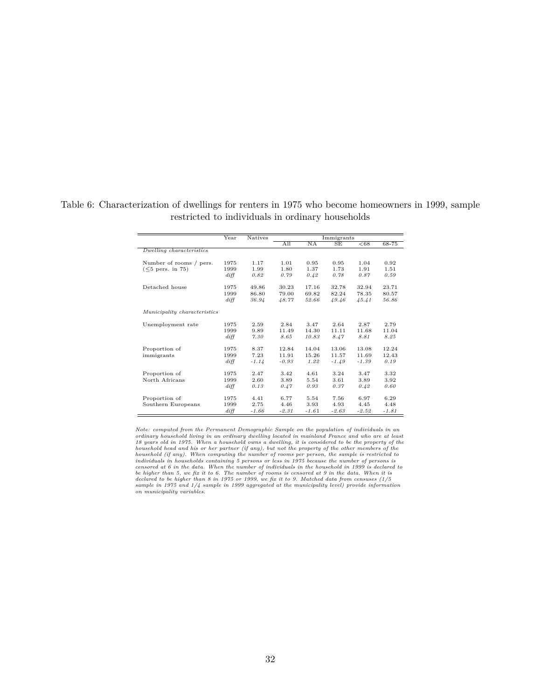|                              | Year       | <b>Natives</b> |         |         | Immigrants |         |         |
|------------------------------|------------|----------------|---------|---------|------------|---------|---------|
|                              |            |                | All     | NA      | SE         | < 68    | 68-75   |
| Dwelling characteristics     |            |                |         |         |            |         |         |
|                              |            |                |         |         |            |         |         |
| Number of rooms / pers.      | 1975       | 1.17           | 1.01    | 0.95    | 0.95       | 1.04    | 0.92    |
| $(<5$ pers. in 75)           | 1999       | 1.99           | 1.80    | 1.37    | 1.73       | 1.91    | 1.51    |
|                              | $di$ ff    | 0.82           | 0.79    | 0.42    | 0.78       | 0.87    | 0.59    |
| Detached house               | 1975       | 49.86          | 30.23   | 17.16   | 32.78      | 32.94   | 23.71   |
|                              | 1999       | 86.80          | 79.00   | 69.82   | 82.24      | 78.35   | 80.57   |
|                              | diff       | 36.94          | 48.77   | 52.66   | 49.46      | 45.41   | 56.86   |
| Municipality characteristics |            |                |         |         |            |         |         |
|                              |            |                |         |         |            |         |         |
| Unemployment rate            | 1975       | 2.59           | 2.84    | 3.47    | 2.64       | 2.87    | 2.79    |
|                              | 1999       | 9.89           | 11.49   | 14.30   | 11.11      | 11.68   | 11.04   |
|                              | $di$ ff    | 7.30           | 8.65    | 10.83   | 8.47       | 8.81    | 8.25    |
| Proportion of                | 1975       | 8.37           | 12.84   | 14.04   | 13.06      | 13.08   | 12.24   |
| immigrants                   | 1999       | 7.23           | 11.91   | 15.26   | 11.57      | 11.69   | 12.43   |
|                              | $di$ ff    | $-1.14$        | $-0.93$ | 1.22    | $-1.49$    | $-1.39$ | 0.19    |
| Proportion of                | 1975       | 2.47           | 3.42    | 4.61    | 3.24       | 3.47    | 3.32    |
| North Africans               | 1999       | 2.60           | 3.89    | 5.54    | 3.61       | 3.89    | 3.92    |
|                              | $di$ ff    | 0.13           | 0.47    | 0.93    | 0.37       | 0.42    | 0.60    |
|                              |            |                |         |         |            |         |         |
| Proportion of                | 1975       | 4.41           | 6.77    | 5.54    | 7.56       | 6.97    | 6.29    |
| Southern Europeans           | 1999       | 2.75           | 4.46    | 3.93    | 4.93       | 4.45    | 4.48    |
|                              | $di\!f\!f$ | $-1.66$        | $-2.31$ | $-1.61$ | $-2.63$    | $-2.52$ | $-1.81$ |

Table 6: Characterization of dwellings for renters in 1975 who become homeowners in 1999, sample restricted to individuals in ordinary households

Note: computed from the Permanent Demographic Sample on the population of individuals in an<br>ordinary household living in an ordinary dwelling located in mainland France and who are at least<br>18 years old in 1975. When a ho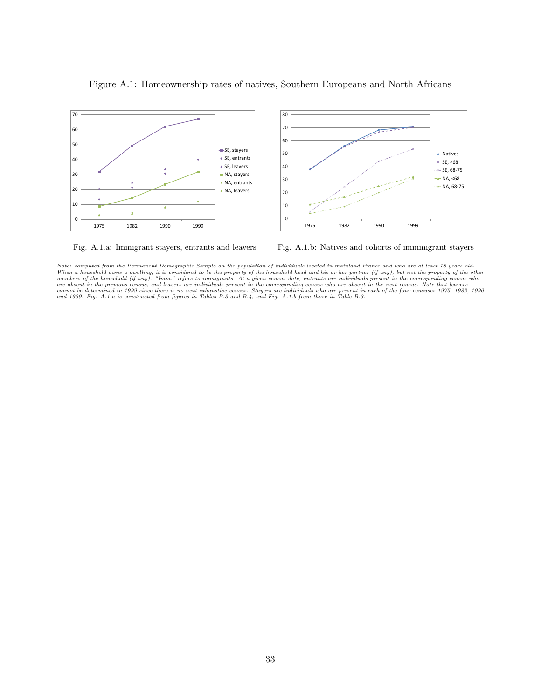

#### Figure A.1: Homeownership rates of natives, Southern Europeans and North Africans



*Note: computed from the Permanent Demographic Sample on the population of individuals located in mainland France and who are at least 18 years old.* When a household owns a dwelling, it is considered to be the property of the household head and his or her partner (if any), but not the property of the other members of the household (if any). "Imm." refers to immigrants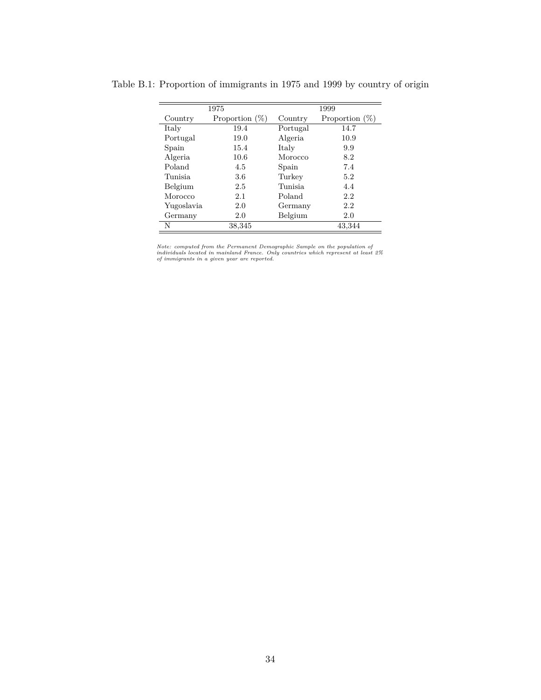|            | 1975              | 1999     |                   |  |  |
|------------|-------------------|----------|-------------------|--|--|
| Country    | Proportion $(\%)$ | Country  | Proportion $(\%)$ |  |  |
| Italy      | 19.4              | Portugal | 14.7              |  |  |
| Portugal   | 19.0              | Algeria  | 10.9              |  |  |
| Spain      | 15.4              | Italy    | 9.9               |  |  |
| Algeria    | 10.6              | Morocco  | 8.2               |  |  |
| Poland     | 4.5               | Spain    | 7.4               |  |  |
| Tunisia.   | 3.6               | Turkey   | 5.2               |  |  |
| Belgium    | 2.5               | Tunisia  | 4.4               |  |  |
| Morocco    | 2.1               | Poland   | 2.2               |  |  |
| Yugoslavia | 2.0               | Germany  | 2.2               |  |  |
| Germany    | 2.0               | Belgium  | 2.0               |  |  |
| N          | 38,345            |          | 43,344            |  |  |

Table B.1: Proportion of immigrants in 1975 and 1999 by country of origin

*Note: computed from the Permanent Demographic Sample on the population of individuals located in mainland France. Only countries which represent at least 2% of immigrants in a given year are reported.*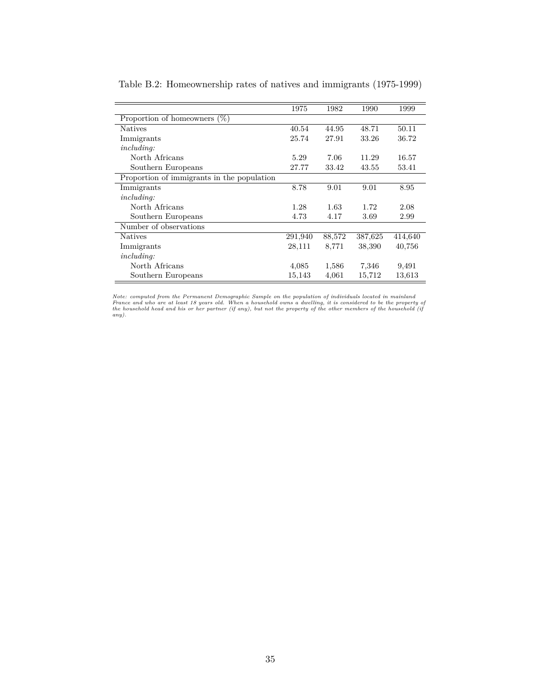|                                            | 1975    | 1982   | 1990    | 1999    |
|--------------------------------------------|---------|--------|---------|---------|
| Proportion of homeowners<br>$(\%)$         |         |        |         |         |
| <b>Natives</b>                             | 40.54   | 44.95  | 48.71   | 50.11   |
| Immigrants                                 | 25.74   | 27.91  | 33.26   | 36.72   |
| including:                                 |         |        |         |         |
| North Africans                             | 5.29    | 7.06   | 11.29   | 16.57   |
| Southern Europeans                         | 27.77   | 33.42  | 43.55   | 53.41   |
| Proportion of immigrants in the population |         |        |         |         |
| Immigrants                                 | 8.78    | 9.01   | 9.01    | 8.95    |
| including:                                 |         |        |         |         |
| North Africans                             | 1.28    | 1.63   | 1.72    | 2.08    |
| Southern Europeans                         | 4.73    | 4.17   | 3.69    | 2.99    |
| Number of observations                     |         |        |         |         |
| <b>Natives</b>                             | 291,940 | 88,572 | 387,625 | 414,640 |
| Immigrants                                 | 28,111  | 8,771  | 38,390  | 40,756  |
| <i>including:</i>                          |         |        |         |         |
| North Africans                             | 4,085   | 1,586  | 7,346   | 9,491   |
| Southern Europeans                         | 15,143  | 4,061  | 15,712  | 13,613  |

Table B.2: Homeownership rates of natives and immigrants (1975-1999)

Note: computed from the Permanent Demographic Sample on the population of individuals located in mainland<br>France and who are at least 18 years old. When a household owns a dwelling, it is considered to be the property of<br>t *any).*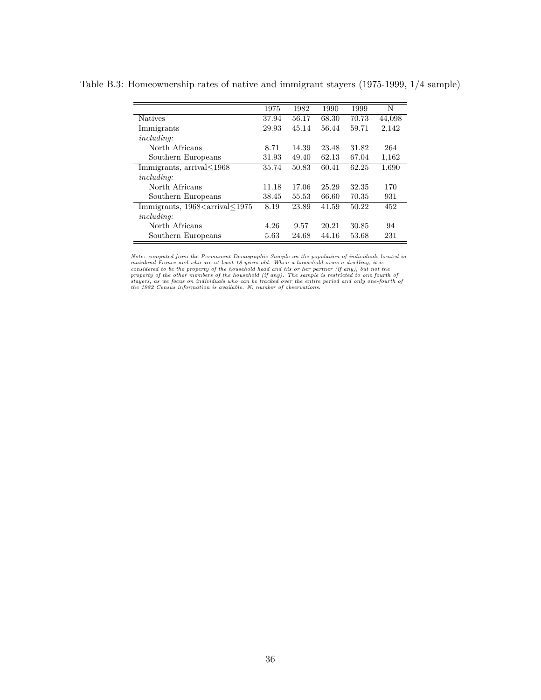| 1975  | 1982  | 1990  | 1999  | N      |
|-------|-------|-------|-------|--------|
| 37.94 | 56.17 | 68.30 | 70.73 | 44,098 |
| 29.93 | 45.14 | 56.44 | 59.71 | 2,142  |
|       |       |       |       |        |
| 8.71  | 14.39 | 23.48 | 31.82 | 264    |
| 31.93 | 49.40 | 62.13 | 67.04 | 1,162  |
| 35.74 | 50.83 | 60.41 | 62.25 | 1,690  |
|       |       |       |       |        |
| 11.18 | 17.06 | 25.29 | 32.35 | 170    |
| 38.45 | 55.53 | 66.60 | 70.35 | 931    |
| 8.19  | 23.89 | 41.59 | 50.22 | 452    |
|       |       |       |       |        |
| 4.26  | 9.57  | 20.21 | 30.85 | 94     |
| 5.63  | 24.68 | 44.16 | 53.68 | 231    |
|       |       |       |       |        |

Table B.3: Homeownership rates of native and immigrant stayers (1975-1999, 1/4 sample)

Note: computed from the Permanent Demographic Sample on the population of individuals located in mainland France and who are at least 18 years old. When a household owns a dwelling, it is considered to be the property of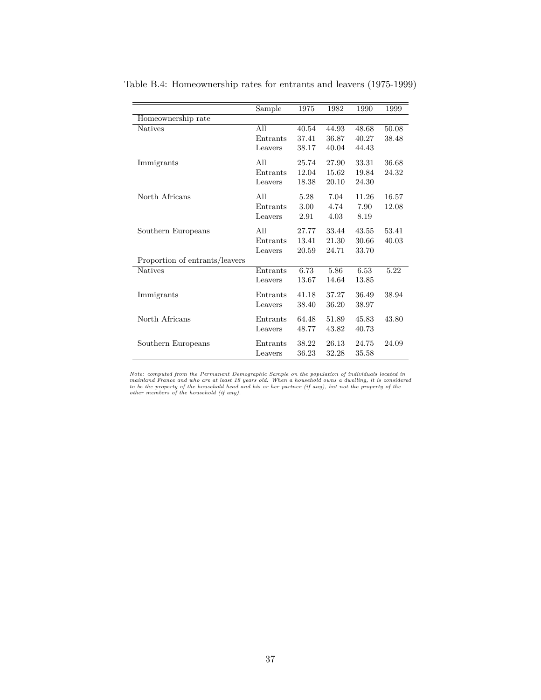|                                | Sample   | 1975  | 1982  | 1990  | 1999  |
|--------------------------------|----------|-------|-------|-------|-------|
| Homeownership rate             |          |       |       |       |       |
| <b>Natives</b>                 | All      | 40.54 | 44.93 | 48.68 | 50.08 |
|                                | Entrants | 37.41 | 36.87 | 40.27 | 38.48 |
|                                | Leavers  | 38.17 | 40.04 | 44.43 |       |
| Immigrants                     | All      | 25.74 | 27.90 | 33.31 | 36.68 |
|                                | Entrants | 12.04 | 15.62 | 19.84 | 24.32 |
|                                | Leavers  | 18.38 | 20.10 | 24.30 |       |
| North Africans                 | All      | 5.28  | 7.04  | 11.26 | 16.57 |
|                                | Entrants | 3.00  | 4.74  | 7.90  | 12.08 |
|                                | Leavers  | 2.91  | 4.03  | 8.19  |       |
| Southern Europeans             | All      | 27.77 | 33.44 | 43.55 | 53.41 |
|                                | Entrants | 13.41 | 21.30 | 30.66 | 40.03 |
|                                | Leavers  | 20.59 | 24.71 | 33.70 |       |
| Proportion of entrants/leavers |          |       |       |       |       |
| <b>Natives</b>                 | Entrants | 6.73  | 5.86  | 6.53  | 5.22  |
|                                | Leavers  | 13.67 | 14.64 | 13.85 |       |
| Immigrants                     | Entrants | 41.18 | 37.27 | 36.49 | 38.94 |
|                                | Leavers  | 38.40 | 36.20 | 38.97 |       |
| North Africans                 | Entrants | 64.48 | 51.89 | 45.83 | 43.80 |
|                                | Leavers  | 48.77 | 43.82 | 40.73 |       |
| Southern Europeans             | Entrants | 38.22 | 26.13 | 24.75 | 24.09 |
|                                | Leavers  | 36.23 | 32.28 | 35.58 |       |

Table B.4: Homeownership rates for entrants and leavers (1975-1999)

Note: computed from the Permanent Demographic Sample on the population of individuals located in<br>mainland France and who are at least 18 years old. When a household owns a dwelling, it is considered<br>to be the property of